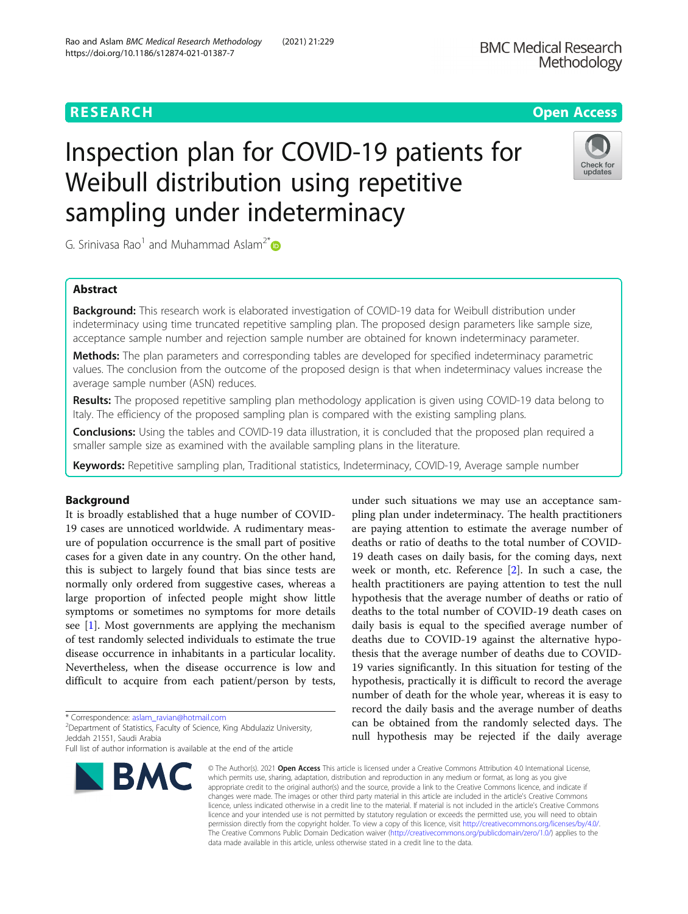## **RESEARCH CHEAR CHEAR CHEAR CHEAR CHEAR CHEAP CONTROL**

# Inspection plan for COVID-19 patients for Weibull distribution using repetitive sampling under indeterminacy

G. Srinivasa Rao<sup>1</sup> and Muhammad Aslam<sup>2[\\*](https://orcid.org/0000-0003-0644-1950)</sup>

## Abstract

**Background:** This research work is elaborated investigation of COVID-19 data for Weibull distribution under indeterminacy using time truncated repetitive sampling plan. The proposed design parameters like sample size, acceptance sample number and rejection sample number are obtained for known indeterminacy parameter.

Methods: The plan parameters and corresponding tables are developed for specified indeterminacy parametric values. The conclusion from the outcome of the proposed design is that when indeterminacy values increase the average sample number (ASN) reduces.

Results: The proposed repetitive sampling plan methodology application is given using COVID-19 data belong to Italy. The efficiency of the proposed sampling plan is compared with the existing sampling plans.

Conclusions: Using the tables and COVID-19 data illustration, it is concluded that the proposed plan required a smaller sample size as examined with the available sampling plans in the literature.

Keywords: Repetitive sampling plan, Traditional statistics, Indeterminacy, COVID-19, Average sample number

## Background

It is broadly established that a huge number of COVID-19 cases are unnoticed worldwide. A rudimentary measure of population occurrence is the small part of positive cases for a given date in any country. On the other hand, this is subject to largely found that bias since tests are normally only ordered from suggestive cases, whereas a large proportion of infected people might show little symptoms or sometimes no symptoms for more details see [\[1](#page-13-0)]. Most governments are applying the mechanism of test randomly selected individuals to estimate the true disease occurrence in inhabitants in a particular locality. Nevertheless, when the disease occurrence is low and difficult to acquire from each patient/person by tests,

\* Correspondence: [aslam\\_ravian@hotmail.com](mailto:aslam_ravian@hotmail.com) <sup>2</sup>

<sup>2</sup>Department of Statistics, Faculty of Science, King Abdulaziz University, Jeddah 21551, Saudi Arabia

19 death cases on daily basis, for the coming days, next week or month, etc. Reference [[2](#page-13-0)]. In such a case, the health practitioners are paying attention to test the null hypothesis that the average number of deaths or ratio of deaths to the total number of COVID-19 death cases on daily basis is equal to the specified average number of deaths due to COVID-19 against the alternative hypothesis that the average number of deaths due to COVID-19 varies significantly. In this situation for testing of the hypothesis, practically it is difficult to record the average number of death for the whole year, whereas it is easy to record the daily basis and the average number of deaths can be obtained from the randomly selected days. The null hypothesis may be rejected if the daily average

under such situations we may use an acceptance sampling plan under indeterminacy. The health practitioners are paying attention to estimate the average number of deaths or ratio of deaths to the total number of COVID-

© The Author(s), 2021 **Open Access** This article is licensed under a Creative Commons Attribution 4.0 International License, which permits use, sharing, adaptation, distribution and reproduction in any medium or format, as long as you give appropriate credit to the original author(s) and the source, provide a link to the Creative Commons licence, and indicate if changes were made. The images or other third party material in this article are included in the article's Creative Commons licence, unless indicated otherwise in a credit line to the material. If material is not included in the article's Creative Commons licence and your intended use is not permitted by statutory regulation or exceeds the permitted use, you will need to obtain permission directly from the copyright holder. To view a copy of this licence, visit [http://creativecommons.org/licenses/by/4.0/.](http://creativecommons.org/licenses/by/4.0/) The Creative Commons Public Domain Dedication waiver [\(http://creativecommons.org/publicdomain/zero/1.0/](http://creativecommons.org/publicdomain/zero/1.0/)) applies to the data made available in this article, unless otherwise stated in a credit line to the data.





Full list of author information is available at the end of the article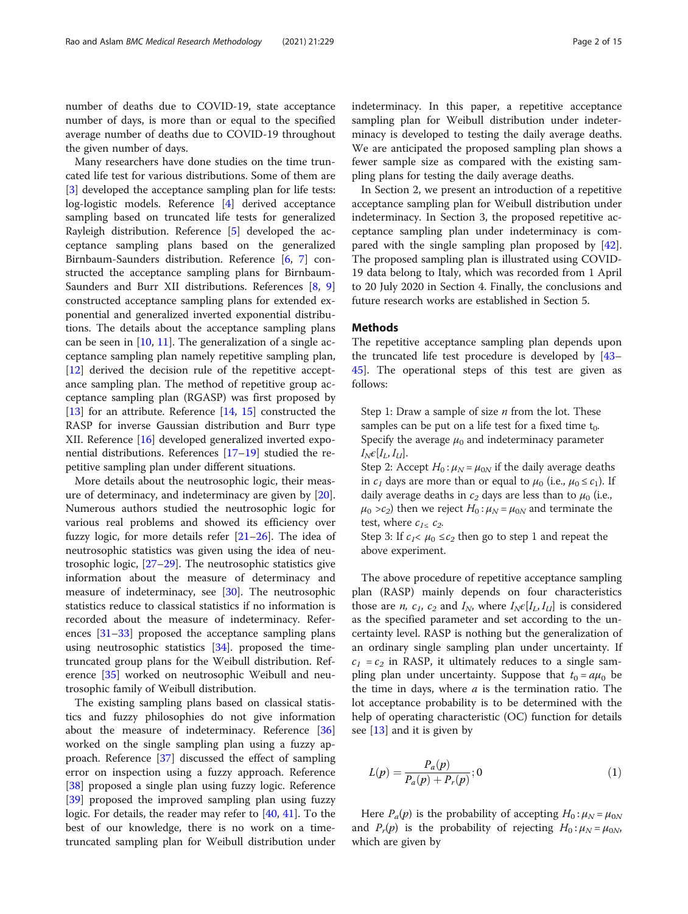<span id="page-1-0"></span>number of deaths due to COVID-19, state acceptance number of days, is more than or equal to the specified average number of deaths due to COVID-19 throughout the given number of days.

Many researchers have done studies on the time truncated life test for various distributions. Some of them are [[3\]](#page-13-0) developed the acceptance sampling plan for life tests: log-logistic models. Reference [\[4](#page-13-0)] derived acceptance sampling based on truncated life tests for generalized Rayleigh distribution. Reference [\[5](#page-13-0)] developed the acceptance sampling plans based on the generalized Birnbaum-Saunders distribution. Reference [[6](#page-13-0), [7\]](#page-13-0) constructed the acceptance sampling plans for Birnbaum-Saunders and Burr XII distributions. References [[8](#page-13-0), [9](#page-13-0)] constructed acceptance sampling plans for extended exponential and generalized inverted exponential distributions. The details about the acceptance sampling plans can be seen in  $[10, 11]$  $[10, 11]$  $[10, 11]$  $[10, 11]$ . The generalization of a single acceptance sampling plan namely repetitive sampling plan, [[12\]](#page-13-0) derived the decision rule of the repetitive acceptance sampling plan. The method of repetitive group acceptance sampling plan (RGASP) was first proposed by [[13\]](#page-13-0) for an attribute. Reference  $[14, 15]$  $[14, 15]$  $[14, 15]$  constructed the RASP for inverse Gaussian distribution and Burr type XII. Reference [[16](#page-13-0)] developed generalized inverted exponential distributions. References [\[17](#page-13-0)–[19\]](#page-13-0) studied the repetitive sampling plan under different situations.

More details about the neutrosophic logic, their measure of determinacy, and indeterminacy are given by [\[20](#page-13-0)]. Numerous authors studied the neutrosophic logic for various real problems and showed its efficiency over fuzzy logic, for more details refer [\[21](#page-13-0)–[26\]](#page-13-0). The idea of neutrosophic statistics was given using the idea of neutrosophic logic, [\[27](#page-13-0)–[29\]](#page-13-0). The neutrosophic statistics give information about the measure of determinacy and measure of indeterminacy, see [\[30](#page-13-0)]. The neutrosophic statistics reduce to classical statistics if no information is recorded about the measure of indeterminacy. References [[31](#page-13-0)–[33](#page-13-0)] proposed the acceptance sampling plans using neutrosophic statistics [\[34](#page-13-0)]. proposed the timetruncated group plans for the Weibull distribution. Reference [[35\]](#page-13-0) worked on neutrosophic Weibull and neutrosophic family of Weibull distribution.

The existing sampling plans based on classical statistics and fuzzy philosophies do not give information about the measure of indeterminacy. Reference [[36](#page-13-0)] worked on the single sampling plan using a fuzzy approach. Reference [\[37](#page-13-0)] discussed the effect of sampling error on inspection using a fuzzy approach. Reference [[38\]](#page-14-0) proposed a single plan using fuzzy logic. Reference [[39\]](#page-14-0) proposed the improved sampling plan using fuzzy logic. For details, the reader may refer to [\[40,](#page-14-0) [41\]](#page-14-0). To the best of our knowledge, there is no work on a timetruncated sampling plan for Weibull distribution under indeterminacy. In this paper, a repetitive acceptance sampling plan for Weibull distribution under indeterminacy is developed to testing the daily average deaths. We are anticipated the proposed sampling plan shows a fewer sample size as compared with the existing sampling plans for testing the daily average deaths.

In Section 2, we present an introduction of a repetitive acceptance sampling plan for Weibull distribution under indeterminacy. In Section 3, the proposed repetitive acceptance sampling plan under indeterminacy is compared with the single sampling plan proposed by [\[42](#page-14-0)]. The proposed sampling plan is illustrated using COVID-19 data belong to Italy, which was recorded from 1 April to 20 July 2020 in Section 4. Finally, the conclusions and future research works are established in Section 5.

## Methods

The repetitive acceptance sampling plan depends upon the truncated life test procedure is developed by [[43](#page-14-0)– [45\]](#page-14-0). The operational steps of this test are given as follows:

Step 1: Draw a sample of size  $n$  from the lot. These samples can be put on a life test for a fixed time  $t_0$ . Specify the average  $\mu_0$  and indeterminacy parameter  $I_N \epsilon[I_L, I_U].$ 

Step 2: Accept  $H_0: \mu_N = \mu_{0N}$  if the daily average deaths in  $c_1$  days are more than or equal to  $\mu_0$  (i.e.,  $\mu_0 \leq c_1$ ). If daily average deaths in  $c_2$  days are less than to  $\mu_0$  (i.e.,  $\mu_0 > c_2$ ) then we reject  $H_0$ :  $\mu_N = \mu_{0N}$  and terminate the test, where  $c_{1\leq c_2}$ .

Step 3: If  $c_1 < \mu_0 \leq c_2$  then go to step 1 and repeat the above experiment.

The above procedure of repetitive acceptance sampling plan (RASP) mainly depends on four characteristics those are *n*,  $c_1$ ,  $c_2$  and  $I_N$ , where  $I_N \epsilon[I_l, I_U]$  is considered as the specified parameter and set according to the uncertainty level. RASP is nothing but the generalization of an ordinary single sampling plan under uncertainty. If  $c_1 = c_2$  in RASP, it ultimately reduces to a single sampling plan under uncertainty. Suppose that  $t_0 = a\mu_0$  be the time in days, where  $a$  is the termination ratio. The lot acceptance probability is to be determined with the help of operating characteristic (OC) function for details see [\[13](#page-13-0)] and it is given by

$$
L(p) = \frac{P_a(p)}{P_a(p) + P_r(p)}; 0
$$
\n(1)

Here  $P_a(p)$  is the probability of accepting  $H_0: \mu_N = \mu_{0N}$ and  $P_r(p)$  is the probability of rejecting  $H_0: \mu_N = \mu_{0N}$ , which are given by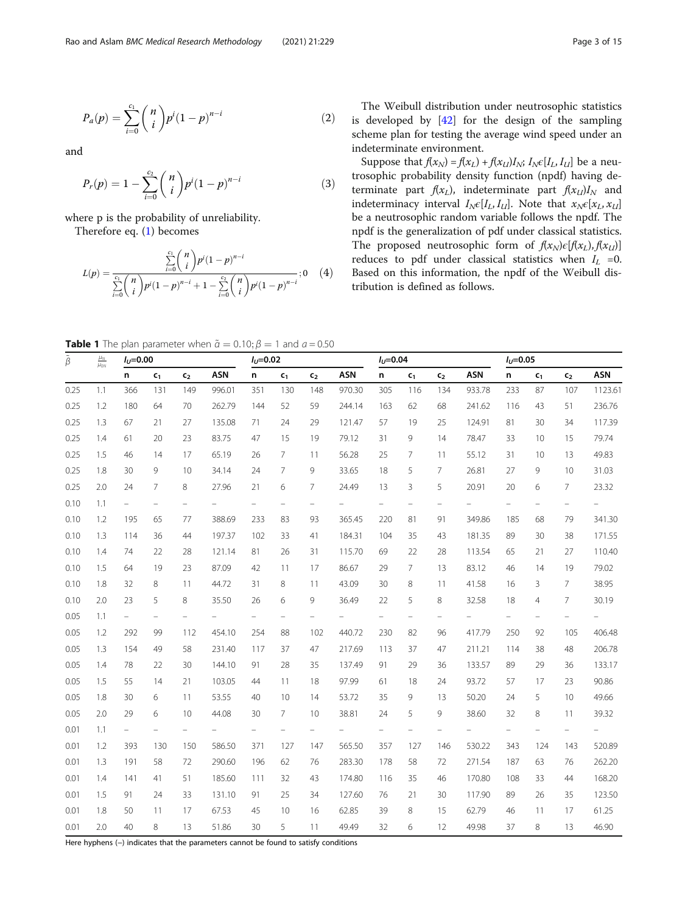<span id="page-2-0"></span>
$$
P_a(p) = \sum_{i=0}^{c_1} {n \choose i} p^i (1-p)^{n-i}
$$
 (2)

and

$$
P_r(p) = 1 - \sum_{i=0}^{c_2} {n \choose i} p^i (1-p)^{n-i}
$$
 (3)

where p is the probability of unreliability.

Therefore eq. ([1\)](#page-1-0) becomes

$$
L(p) = \frac{\sum_{i=0}^{c_1} {n \choose i} p^i (1-p)^{n-i}}{\sum_{i=0}^{c_1} {n \choose i} p^i (1-p)^{n-i} + 1 - \sum_{i=0}^{c_2} {n \choose i} p^i (1-p)^{n-i}}; 0 \quad (4)
$$

The Weibull distribution under neutrosophic statistics is developed by [\[42](#page-14-0)] for the design of the sampling scheme plan for testing the average wind speed under an indeterminate environment.

Suppose that  $f(x_N) = f(x_L) + f(x_U)I_N$ ;  $I_N \in [I_L, I_U]$  be a neutrosophic probability density function (npdf) having determinate part  $f(x_L)$ , indeterminate part  $f(x_U)I_N$  and indeterminacy interval  $I_N \epsilon[I_L, I_U]$ . Note that  $x_N \epsilon[x_L, x_U]$ be a neutrosophic random variable follows the npdf. The npdf is the generalization of pdf under classical statistics. The proposed neutrosophic form of  $f(x_N) \epsilon [f(x_L), f(x_U)]$ reduces to pdf under classical statistics when  $I_L = 0$ . Based on this information, the npdf of the Weibull distribution is defined as follows.

**Table 1** The plan parameter when  $\tilde{\alpha} = 0.10; \beta = 1$  and  $a = 0.50$ 

| $\underline{\mu_{N}}$<br>$\tilde{\beta}$<br>$\mu_{0N}$ | $I_{1}=0.00$ |                          |                   |                          | $I_U = 0.02$ |                          |                          |                   | $I_{11} = 0.04$ |                          |                |                          | $I_U = 0.05$ |                          |                          |                          |            |
|--------------------------------------------------------|--------------|--------------------------|-------------------|--------------------------|--------------|--------------------------|--------------------------|-------------------|-----------------|--------------------------|----------------|--------------------------|--------------|--------------------------|--------------------------|--------------------------|------------|
|                                                        |              | n                        | $c_{1}$           | c <sub>2</sub>           | <b>ASN</b>   | n                        | $c_{1}$                  | $c_{2}$           | <b>ASN</b>      | n                        | $c_{1}$        | c <sub>2</sub>           | <b>ASN</b>   | n                        | c <sub>1</sub>           | c <sub>2</sub>           | <b>ASN</b> |
| 0.25                                                   | 1.1          | 366                      | 131               | 149                      | 996.01       | 351                      | 130                      | 148               | 970.30          | 305                      | 116            | 134                      | 933.78       | 233                      | 87                       | 107                      | 1123.61    |
| 0.25                                                   | 1.2          | 180                      | 64                | 70                       | 262.79       | 144                      | 52                       | 59                | 244.14          | 163                      | 62             | 68                       | 241.62       | 116                      | 43                       | 51                       | 236.76     |
| 0.25                                                   | 1.3          | 67                       | 21                | 27                       | 135.08       | 71                       | 24                       | 29                | 121.47          | 57                       | 19             | 25                       | 124.91       | 81                       | 30                       | 34                       | 117.39     |
| 0.25                                                   | 1.4          | 61                       | 20                | 23                       | 83.75        | 47                       | 15                       | 19                | 79.12           | 31                       | 9              | 14                       | 78.47        | 33                       | 10                       | 15                       | 79.74      |
| 0.25                                                   | 1.5          | 46                       | 14                | 17                       | 65.19        | 26                       | $\overline{7}$           | 11                | 56.28           | 25                       | 7              | 11                       | 55.12        | 31                       | 10                       | 13                       | 49.83      |
| 0.25                                                   | 1.8          | 30                       | 9                 | 10                       | 34.14        | 24                       | $\overline{7}$           | 9                 | 33.65           | 18                       | 5              | 7                        | 26.81        | 27                       | 9                        | 10                       | 31.03      |
| 0.25                                                   | 2.0          | 24                       | 7                 | 8                        | 27.96        | 21                       | 6                        | 7                 | 24.49           | 13                       | 3              | 5                        | 20.91        | 20                       | 6                        | 7                        | 23.32      |
| 0.10                                                   | 1.1          | $\overline{\phantom{0}}$ | $\qquad \qquad -$ | $\overline{\phantom{0}}$ |              | $\overline{\phantom{0}}$ | $\equiv$                 | $\qquad \qquad -$ | -               | $\overline{\phantom{0}}$ | $\equiv$       | $\overline{\phantom{0}}$ |              | $\overline{\phantom{0}}$ | $\qquad \qquad -$        | $\overline{\phantom{0}}$ | Ξ.         |
| 0.10                                                   | 1.2          | 195                      | 65                | 77                       | 388.69       | 233                      | 83                       | 93                | 365.45          | 220                      | 81             | 91                       | 349.86       | 185                      | 68                       | 79                       | 341.30     |
| 0.10                                                   | 1.3          | 114                      | 36                | 44                       | 197.37       | 102                      | 33                       | 41                | 184.31          | 104                      | 35             | 43                       | 181.35       | 89                       | 30                       | 38                       | 171.55     |
| 0.10                                                   | 1.4          | 74                       | 22                | 28                       | 121.14       | 81                       | 26                       | 31                | 115.70          | 69                       | 22             | 28                       | 113.54       | 65                       | 21                       | 27                       | 110.40     |
| 0.10                                                   | 1.5          | 64                       | 19                | 23                       | 87.09        | 42                       | 11                       | 17                | 86.67           | 29                       | $\overline{7}$ | 13                       | 83.12        | 46                       | 14                       | 19                       | 79.02      |
| 0.10                                                   | 1.8          | 32                       | 8                 | 11                       | 44.72        | 31                       | 8                        | 11                | 43.09           | 30                       | 8              | 11                       | 41.58        | 16                       | 3                        | $\overline{7}$           | 38.95      |
| 0.10                                                   | 2.0          | 23                       | 5                 | 8                        | 35.50        | 26                       | 6                        | 9                 | 36.49           | 22                       | 5              | 8                        | 32.58        | 18                       | $\overline{4}$           | $\overline{7}$           | 30.19      |
| 0.05                                                   | 1.1          | $\overline{\phantom{0}}$ |                   |                          |              | $\overline{\phantom{0}}$ | $\overline{\phantom{0}}$ |                   |                 |                          |                |                          |              |                          | $\overline{\phantom{0}}$ |                          |            |
| 0.05                                                   | 1.2          | 292                      | 99                | 112                      | 454.10       | 254                      | 88                       | 102               | 440.72          | 230                      | 82             | 96                       | 417.79       | 250                      | 92                       | 105                      | 406.48     |
| 0.05                                                   | 1.3          | 154                      | 49                | 58                       | 231.40       | 117                      | 37                       | 47                | 217.69          | 113                      | 37             | 47                       | 211.21       | 114                      | 38                       | 48                       | 206.78     |
| 0.05                                                   | 1.4          | 78                       | 22                | 30                       | 144.10       | 91                       | 28                       | 35                | 137.49          | 91                       | 29             | 36                       | 133.57       | 89                       | 29                       | 36                       | 133.17     |
| 0.05                                                   | 1.5          | 55                       | 14                | 21                       | 103.05       | 44                       | 11                       | 18                | 97.99           | 61                       | 18             | 24                       | 93.72        | 57                       | 17                       | 23                       | 90.86      |
| 0.05                                                   | 1.8          | 30                       | 6                 | 11                       | 53.55        | 40                       | 10                       | 14                | 53.72           | 35                       | 9              | 13                       | 50.20        | 24                       | 5                        | 10                       | 49.66      |
| 0.05                                                   | 2.0          | 29                       | 6                 | 10                       | 44.08        | 30                       | $\overline{7}$           | 10                | 38.81           | 24                       | 5              | 9                        | 38.60        | 32                       | 8                        | 11                       | 39.32      |
| 0.01                                                   | 1.1          | $\overline{\phantom{0}}$ |                   |                          |              | $\overline{\phantom{0}}$ |                          |                   |                 |                          |                |                          |              | $\overline{\phantom{0}}$ |                          | $\overline{\phantom{0}}$ |            |
| 0.01                                                   | 1.2          | 393                      | 130               | 150                      | 586.50       | 371                      | 127                      | 147               | 565.50          | 357                      | 127            | 146                      | 530.22       | 343                      | 124                      | 143                      | 520.89     |
| 0.01                                                   | 1.3          | 191                      | 58                | 72                       | 290.60       | 196                      | 62                       | 76                | 283.30          | 178                      | 58             | 72                       | 271.54       | 187                      | 63                       | 76                       | 262.20     |
| 0.01                                                   | 1.4          | 141                      | 41                | 51                       | 185.60       | 111                      | 32                       | 43                | 174.80          | 116                      | 35             | 46                       | 170.80       | 108                      | 33                       | 44                       | 168.20     |
| 0.01                                                   | 1.5          | 91                       | 24                | 33                       | 131.10       | 91                       | 25                       | 34                | 127.60          | 76                       | 21             | 30                       | 117.90       | 89                       | 26                       | 35                       | 123.50     |
| 0.01                                                   | 1.8          | 50                       | 11                | 17                       | 67.53        | 45                       | 10                       | 16                | 62.85           | 39                       | 8              | 15                       | 62.79        | 46                       | 11                       | 17                       | 61.25      |
| 0.01                                                   | 2.0          | 40                       | 8                 | 13                       | 51.86        | 30                       | 5                        | 11                | 49.49           | 32                       | 6              | 12                       | 49.98        | 37                       | 8                        | 13                       | 46.90      |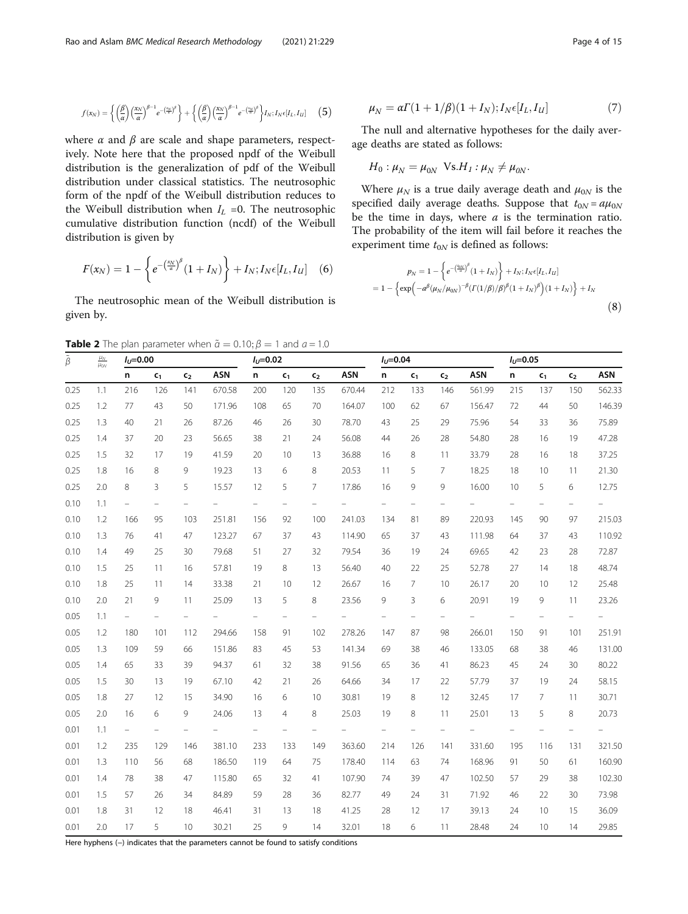<span id="page-3-0"></span>
$$
f(x_N) = \left\{ \left(\frac{\beta}{\alpha}\right) \binom{x_N}{\alpha}^{\beta-1} e^{-\binom{x_N}{\alpha}\beta} \right\} + \left\{ \left(\frac{\beta}{\alpha}\right) \binom{x_N}{\alpha}^{\beta-1} e^{-\binom{x_N}{\alpha}\beta} \right\} I_N; I_N \epsilon[I_L, I_U] \tag{5}
$$

where  $\alpha$  and  $\beta$  are scale and shape parameters, respectively. Note here that the proposed npdf of the Weibull distribution is the generalization of pdf of the Weibull distribution under classical statistics. The neutrosophic form of the npdf of the Weibull distribution reduces to the Weibull distribution when  $I_L$  =0. The neutrosophic cumulative distribution function (ncdf) of the Weibull distribution is given by

$$
F(x_N) = 1 - \left\{ e^{-\left(\frac{x_N}{a}\right)^{\beta}} (1 + I_N) \right\} + I_N; I_N \epsilon [I_L, I_U] \quad (6)
$$

The neutrosophic mean of the Weibull distribution is given by.

**Table 2** The plan parameter when  $\tilde{a} = 0.10; \beta = 1$  and  $a = 1.0$ 

$$
\mu_N = \alpha \Gamma(1 + 1/\beta)(1 + I_N); I_N \epsilon[I_L, I_U]
$$
\n(7)

The null and alternative hypotheses for the daily average deaths are stated as follows:

$$
H_0: \mu_N = \mu_{0N} \ \text{Vs.} H_1: \mu_N \neq \mu_{0N}.
$$

Where  $\mu_N$  is a true daily average death and  $\mu_{0N}$  is the specified daily average deaths. Suppose that  $t_{0N} = a\mu_{0N}$ be the time in days, where  $a$  is the termination ratio. The probability of the item will fail before it reaches the experiment time  $t_{0N}$  is defined as follows:

$$
p_N = 1 - \left\{ e^{-\left(\frac{t_0 N}{\sigma}\right)^{\beta}} (1 + I_N) \right\} + I_N; I_N \epsilon[I_L, I_U]
$$
  
= 1 - \left\{ \exp\left( -a^{\beta} (\mu\_N/\mu\_{0N})^{-\beta} (I(1/\beta)/\beta)^{\beta} (1 + I\_N)^{\beta} \right) (1 + I\_N) \right\} + I\_N (8)

| $\tilde{\beta}$ | $\frac{\mu_N}{\mu_{0N}}$ | $I_U = 0.00$             |                |                |            | $I_U = 0.02$      |                |                |            | $I_U = 0.04$ |                |                |            | $I_U = 0.05$ |         |                |            |
|-----------------|--------------------------|--------------------------|----------------|----------------|------------|-------------------|----------------|----------------|------------|--------------|----------------|----------------|------------|--------------|---------|----------------|------------|
|                 |                          | n                        | c <sub>1</sub> | c <sub>2</sub> | <b>ASN</b> | n                 | c <sub>1</sub> | c <sub>2</sub> | <b>ASN</b> | n            | c <sub>1</sub> | c <sub>2</sub> | <b>ASN</b> | n            | $c_{1}$ | $\mathsf{c}_2$ | <b>ASN</b> |
| 0.25            | 1.1                      | 216                      | 126            | 141            | 670.58     | 200               | 120            | 135            | 670.44     | 212          | 133            | 146            | 561.99     | 215          | 137     | 150            | 562.33     |
| 0.25            | 1.2                      | 77                       | 43             | 50             | 171.96     | 108               | 65             | 70             | 164.07     | 100          | 62             | 67             | 156.47     | 72           | 44      | 50             | 146.39     |
| 0.25            | 1.3                      | 40                       | 21             | 26             | 87.26      | 46                | 26             | 30             | 78.70      | 43           | 25             | 29             | 75.96      | 54           | 33      | 36             | 75.89      |
| 0.25            | 1.4                      | 37                       | 20             | 23             | 56.65      | 38                | 21             | 24             | 56.08      | 44           | 26             | 28             | 54.80      | 28           | 16      | 19             | 47.28      |
| 0.25            | 1.5                      | 32                       | 17             | 19             | 41.59      | 20                | 10             | 13             | 36.88      | 16           | 8              | 11             | 33.79      | 28           | 16      | 18             | 37.25      |
| 0.25            | 1.8                      | 16                       | 8              | 9              | 19.23      | 13                | 6              | 8              | 20.53      | 11           | 5              | 7              | 18.25      | 18           | 10      | 11             | 21.30      |
| 0.25            | 2.0                      | 8                        | 3              | 5              | 15.57      | 12                | 5              | $\overline{7}$ | 17.86      | 16           | 9              | 9              | 16.00      | 10           | 5       | 6              | 12.75      |
| 0.10            | 1.1                      | $\overline{\phantom{0}}$ |                |                |            | $\qquad \qquad -$ |                |                |            |              |                |                |            |              |         |                |            |
| 0.10            | 1.2                      | 166                      | 95             | 103            | 251.81     | 156               | 92             | 100            | 241.03     | 134          | 81             | 89             | 220.93     | 145          | 90      | 97             | 215.03     |
| 0.10            | 1.3                      | 76                       | 41             | 47             | 123.27     | 67                | 37             | 43             | 114.90     | 65           | 37             | 43             | 111.98     | 64           | 37      | 43             | 110.92     |
| 0.10            | 1.4                      | 49                       | 25             | 30             | 79.68      | 51                | 27             | 32             | 79.54      | 36           | 19             | 24             | 69.65      | 42           | 23      | 28             | 72.87      |
| 0.10            | 1.5                      | 25                       | 11             | 16             | 57.81      | 19                | 8              | 13             | 56.40      | 40           | 22             | 25             | 52.78      | 27           | 14      | 18             | 48.74      |
| 0.10            | 1.8                      | 25                       | 11             | 14             | 33.38      | 21                | 10             | 12             | 26.67      | 16           | 7              | 10             | 26.17      | 20           | 10      | 12             | 25.48      |
| 0.10            | 2.0                      | 21                       | 9              | 11             | 25.09      | 13                | 5              | 8              | 23.56      | 9            | 3              | 6              | 20.91      | 19           | 9       | 11             | 23.26      |
| 0.05            | 1.1                      | $\qquad \qquad -$        |                |                |            | $\frac{1}{2}$     |                |                |            |              |                |                |            |              |         |                |            |
| 0.05            | 1.2                      | 180                      | 101            | 112            | 294.66     | 158               | 91             | 102            | 278.26     | 147          | 87             | 98             | 266.01     | 150          | 91      | 101            | 251.91     |
| 0.05            | 1.3                      | 109                      | 59             | 66             | 151.86     | 83                | 45             | 53             | 141.34     | 69           | 38             | 46             | 133.05     | 68           | 38      | 46             | 131.00     |
| 0.05            | 1.4                      | 65                       | 33             | 39             | 94.37      | 61                | 32             | 38             | 91.56      | 65           | 36             | 41             | 86.23      | 45           | 24      | 30             | 80.22      |
| 0.05            | 1.5                      | 30                       | 13             | 19             | 67.10      | 42                | 21             | 26             | 64.66      | 34           | 17             | 22             | 57.79      | 37           | 19      | 24             | 58.15      |
| 0.05            | 1.8                      | 27                       | 12             | 15             | 34.90      | 16                | 6              | 10             | 30.81      | 19           | 8              | 12             | 32.45      | 17           | 7       | 11             | 30.71      |
| 0.05            | 2.0                      | 16                       | 6              | 9              | 24.06      | 13                | $\overline{4}$ | 8              | 25.03      | 19           | 8              | 11             | 25.01      | 13           | 5       | 8              | 20.73      |
| 0.01            | 1.1                      | $\qquad \qquad -$        |                |                |            | -                 |                |                |            |              |                |                |            |              |         |                |            |
| 0.01            | 1.2                      | 235                      | 129            | 146            | 381.10     | 233               | 133            | 149            | 363.60     | 214          | 126            | 141            | 331.60     | 195          | 116     | 131            | 321.50     |
| 0.01            | 1.3                      | 110                      | 56             | 68             | 186.50     | 119               | 64             | 75             | 178.40     | 114          | 63             | 74             | 168.96     | 91           | 50      | 61             | 160.90     |
| 0.01            | 1.4                      | 78                       | 38             | 47             | 115.80     | 65                | 32             | 41             | 107.90     | 74           | 39             | 47             | 102.50     | 57           | 29      | 38             | 102.30     |
| 0.01            | 1.5                      | 57                       | 26             | 34             | 84.89      | 59                | 28             | 36             | 82.77      | 49           | 24             | 31             | 71.92      | 46           | 22      | 30             | 73.98      |
| 0.01            | 1.8                      | 31                       | 12             | 18             | 46.41      | 31                | 13             | 18             | 41.25      | 28           | 12             | 17             | 39.13      | 24           | 10      | 15             | 36.09      |
| 0.01            | 2.0                      | 17                       | 5              | 10             | 30.21      | 25                | 9              | 14             | 32.01      | 18           | 6              | 11             | 28.48      | 24           | 10      | 14             | 29.85      |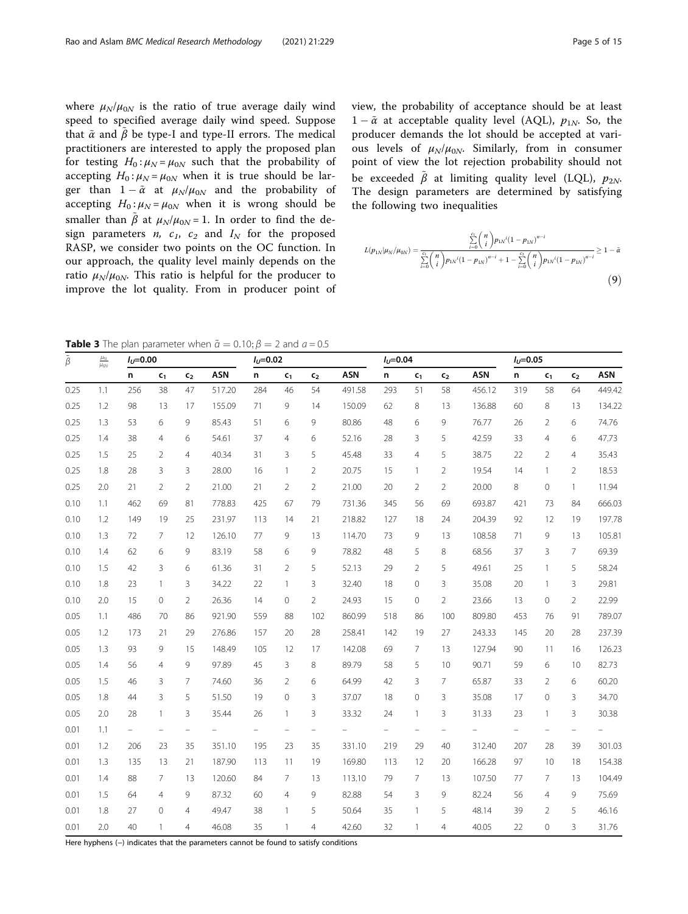<span id="page-4-0"></span>where  $\mu_N/\mu_{0N}$  is the ratio of true average daily wind speed to specified average daily wind speed. Suppose that  $\tilde{\alpha}$  and  $\tilde{\beta}$  be type-I and type-II errors. The medical practitioners are interested to apply the proposed plan for testing  $H_0: \mu_N = \mu_{0N}$  such that the probability of accepting  $H_0$ :  $\mu_N = \mu_{0N}$  when it is true should be larger than  $1 - \tilde{\alpha}$  at  $\mu_N/\mu_{0N}$  and the probability of accepting  $H_0: \mu_N = \mu_{0N}$  when it is wrong should be smaller than  $\tilde{\beta}$  at  $\mu_{N}/\mu_{0N}$  = 1. In order to find the design parameters *n*,  $c_1$ ,  $c_2$  and  $I_N$  for the proposed RASP, we consider two points on the OC function. In our approach, the quality level mainly depends on the ratio  $\mu_N/\mu_{0N}$ . This ratio is helpful for the producer to improve the lot quality. From in producer point of view, the probability of acceptance should be at least  $1 - \tilde{\alpha}$  at acceptable quality level (AQL),  $p_{1N}$ . So, the producer demands the lot should be accepted at various levels of  $\mu_N/\mu_{0N}$ . Similarly, from in consumer point of view the lot rejection probability should not be exceeded  $\tilde{\beta}$  at limiting quality level (LQL),  $p_{2N}$ . The design parameters are determined by satisfying the following two inequalities

$$
L(p_{1N}|\mu_N/\mu_{0N}) = \frac{\sum_{i=0}^{c_1} {n \choose i} p_{1N}i(1 - p_{1N})^{n-i}}{\sum_{i=0}^{c_1} {n \choose i} p_{1N}i(1 - p_{1N})^{n-i} + 1 - \sum_{i=0}^{c_2} {n \choose i} p_{1N}i(1 - p_{1N})^{n-i}} \ge 1 - \tilde{\alpha}
$$
\n(9)

**Table 3** The plan parameter when  $\tilde{a} = 0.10; \beta = 2$  and  $a = 0.5$ 

| $\tilde{\beta}$ | $\frac{\mu_N}{\mu_{0N}}$ | $I_U = 0.00$             |                   |                |            | $I_U = 0.02$ |                   |                |            | $I_U = 0.04$ |                   |                   |            | $I_U = 0.05$ |                          |                          |            |
|-----------------|--------------------------|--------------------------|-------------------|----------------|------------|--------------|-------------------|----------------|------------|--------------|-------------------|-------------------|------------|--------------|--------------------------|--------------------------|------------|
|                 |                          | n                        | $c_{1}$           | c <sub>2</sub> | <b>ASN</b> | n            | c <sub>1</sub>    | c <sub>2</sub> | <b>ASN</b> | n            | c <sub>1</sub>    | c <sub>2</sub>    | <b>ASN</b> | n            | $c_{1}$                  | c <sub>2</sub>           | <b>ASN</b> |
| 0.25            | 1.1                      | 256                      | 38                | 47             | 517.20     | 284          | 46                | 54             | 491.58     | 293          | 51                | 58                | 456.12     | 319          | 58                       | 64                       | 449.42     |
| 0.25            | 1.2                      | 98                       | 13                | 17             | 155.09     | 71           | 9                 | 14             | 150.09     | 62           | 8                 | 13                | 136.88     | 60           | 8                        | 13                       | 134.22     |
| 0.25            | 1.3                      | 53                       | 6                 | 9              | 85.43      | 51           | 6                 | 9              | 80.86      | 48           | 6                 | 9                 | 76.77      | 26           | $\overline{2}$           | 6                        | 74.76      |
| 0.25            | 1.4                      | 38                       | 4                 | 6              | 54.61      | 37           | $\overline{4}$    | 6              | 52.16      | 28           | 3                 | 5                 | 42.59      | 33           | $\overline{4}$           | 6                        | 47.73      |
| 0.25            | 1.5                      | 25                       | $\overline{2}$    | $\overline{4}$ | 40.34      | 31           | 3                 | 5              | 45.48      | 33           | $\overline{4}$    | 5                 | 38.75      | 22           | $\overline{2}$           | 4                        | 35.43      |
| 0.25            | 1.8                      | 28                       | 3                 | 3              | 28.00      | 16           | $\mathbf{1}$      | 2              | 20.75      | 15           | $\mathbf{1}$      | 2                 | 19.54      | 14           | $\overline{1}$           | 2                        | 18.53      |
| 0.25            | 2.0                      | 21                       | $\overline{2}$    | $\overline{2}$ | 21.00      | 21           | 2                 | $\overline{2}$ | 21.00      | 20           | $\overline{2}$    | $\overline{2}$    | 20.00      | 8            | $\mathbf 0$              | 1                        | 11.94      |
| 0.10            | 1.1                      | 462                      | 69                | 81             | 778.83     | 425          | 67                | 79             | 731.36     | 345          | 56                | 69                | 693.87     | 421          | 73                       | 84                       | 666.03     |
| 0.10            | 1.2                      | 149                      | 19                | 25             | 231.97     | 113          | 14                | 21             | 218.82     | 127          | 18                | 24                | 204.39     | 92           | 12                       | 19                       | 197.78     |
| 0.10            | 1.3                      | 72                       | $\overline{7}$    | 12             | 126.10     | 77           | 9                 | 13             | 114.70     | 73           | 9                 | 13                | 108.58     | 71           | 9                        | 13                       | 105.81     |
| 0.10            | 1.4                      | 62                       | 6                 | 9              | 83.19      | 58           | 6                 | 9              | 78.82      | 48           | 5                 | 8                 | 68.56      | 37           | 3                        | $\overline{7}$           | 69.39      |
| 0.10            | 1.5                      | 42                       | 3                 | 6              | 61.36      | 31           | $\overline{2}$    | 5              | 52.13      | 29           | $\overline{2}$    | 5                 | 49.61      | 25           | 1                        | 5                        | 58.24      |
| 0.10            | 1.8                      | 23                       | $\mathbf{1}$      | 3              | 34.22      | 22           | 1                 | 3              | 32.40      | 18           | $\mathbf 0$       | 3                 | 35.08      | 20           | $\overline{1}$           | 3                        | 29.81      |
| 0.10            | 2.0                      | 15                       | $\overline{0}$    | $\overline{2}$ | 26.36      | 14           | 0                 | $\overline{2}$ | 24.93      | 15           | $\circ$           | $\overline{2}$    | 23.66      | 13           | $\mathbf{0}$             | 2                        | 22.99      |
| 0.05            | 1.1                      | 486                      | 70                | 86             | 921.90     | 559          | 88                | 102            | 860.99     | 518          | 86                | 100               | 809.80     | 453          | 76                       | 91                       | 789.07     |
| 0.05            | 1.2                      | 173                      | 21                | 29             | 276.86     | 157          | 20                | 28             | 258.41     | 142          | 19                | 27                | 243.33     | 145          | 20                       | 28                       | 237.39     |
| 0.05            | 1.3                      | 93                       | 9                 | 15             | 148.49     | 105          | 12                | 17             | 142.08     | 69           | $\overline{7}$    | 13                | 127.94     | 90           | 11                       | 16                       | 126.23     |
| 0.05            | 1.4                      | 56                       | $\overline{4}$    | 9              | 97.89      | 45           | 3                 | 8              | 89.79      | 58           | 5                 | 10                | 90.71      | 59           | 6                        | 10                       | 82.73      |
| 0.05            | 1.5                      | 46                       | 3                 | 7              | 74.60      | 36           | $\overline{2}$    | 6              | 64.99      | 42           | 3                 | 7                 | 65.87      | 33           | $\overline{2}$           | 6                        | 60.20      |
| 0.05            | 1.8                      | 44                       | $\overline{3}$    | 5              | 51.50      | 19           | $\mathbf 0$       | 3              | 37.07      | 18           | $\mathbf 0$       | 3                 | 35.08      | 17           | $\mathbf 0$              | 3                        | 34.70      |
| 0.05            | 2.0                      | 28                       | $\mathbf{1}$      | 3              | 35.44      | 26           | $\mathbf{1}$      | 3              | 33.32      | 24           | $\mathbf{1}$      | 3                 | 31.33      | 23           | $\overline{1}$           | 3                        | 30.38      |
| 0.01            | 1.1                      | $\overline{\phantom{0}}$ | $\qquad \qquad -$ |                |            |              | $\qquad \qquad -$ |                |            |              | $\qquad \qquad -$ | $\qquad \qquad -$ |            |              | $\overline{\phantom{0}}$ | $\overline{\phantom{0}}$ |            |
| 0.01            | 1.2                      | 206                      | 23                | 35             | 351.10     | 195          | 23                | 35             | 331.10     | 219          | 29                | 40                | 312.40     | 207          | 28                       | 39                       | 301.03     |
| 0.01            | 1.3                      | 135                      | 13                | 21             | 187.90     | 113          | 11                | 19             | 169.80     | 113          | 12                | 20                | 166.28     | 97           | 10                       | 18                       | 154.38     |
| 0.01            | 1.4                      | 88                       | $\overline{7}$    | 13             | 120.60     | 84           | 7                 | 13             | 113.10     | 79           | $\overline{7}$    | 13                | 107.50     | 77           | 7                        | 13                       | 104.49     |
| 0.01            | 1.5                      | 64                       | $\overline{4}$    | 9              | 87.32      | 60           | $\overline{4}$    | 9              | 82.88      | 54           | 3                 | 9                 | 82.24      | 56           | $\overline{4}$           | 9                        | 75.69      |
| 0.01            | 1.8                      | 27                       | $\circ$           | $\overline{4}$ | 49.47      | 38           | 1                 | 5              | 50.64      | 35           | $\mathbf{1}$      | 5                 | 48.14      | 39           | 2                        | 5                        | 46.16      |
| 0.01            | 2.0                      | 40                       | $\mathbf{1}$      | 4              | 46.08      | 35           | 1                 | $\overline{4}$ | 42.60      | 32           | $\mathbf{1}$      | $\overline{4}$    | 40.05      | 22           | $\mathbf 0$              | 3                        | 31.76      |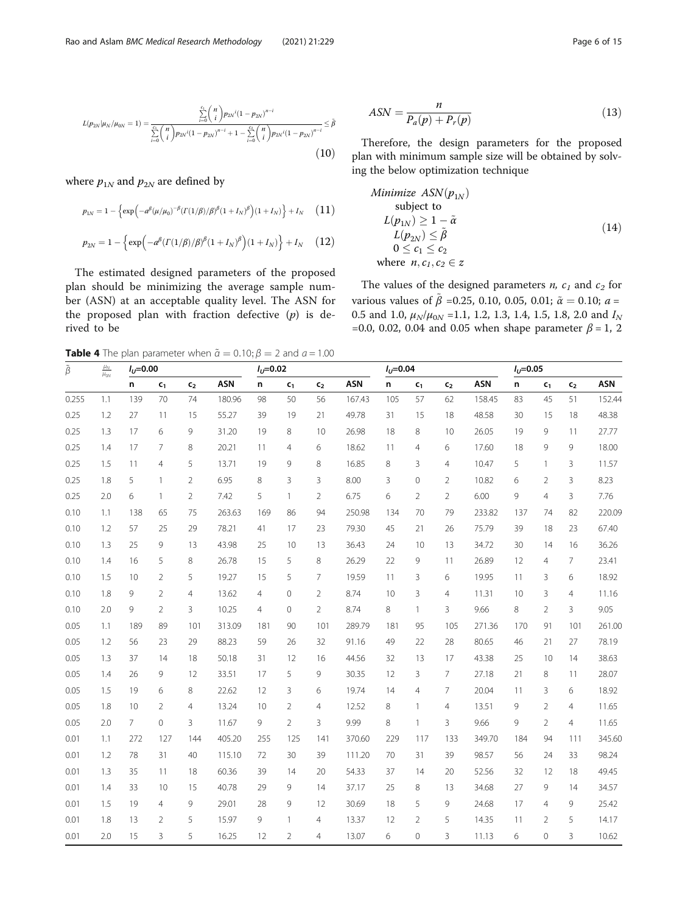<span id="page-5-0"></span>
$$
L(p_{2N}|\mu_N/\mu_{0N}=1) = \frac{\sum_{i=0}^{c_1} {n \choose i} p_{2N}i(1-p_{2N})^{n-i}}{\sum_{i=0}^{c_1} {n \choose i} p_{2N}i(1-p_{2N})^{n-i} + 1 - \sum_{i=0}^{c_2} {n \choose i} p_{2N}i(1-p_{2N})^{n-i}} \leq \tilde{\beta}
$$
\n(10)

where  $p_{1N}$  and  $p_{2N}$  are defined by

$$
p_{1N} = 1 - \left\{ \exp\left(-a^{\beta}(\mu/\mu_0)^{-\beta} (\Gamma(1/\beta)/\beta)^{\beta} (1 + I_N)^{\beta}\right) (1 + I_N) \right\} + I_N \quad (11)
$$

$$
p_{2N} = 1 - \left\{ \exp\left(-a^{\beta} (T(1/\beta)/\beta)^{\beta} (1+I_N)^{\beta}\right) (1+I_N) \right\} + I_N \quad (12)
$$

The estimated designed parameters of the proposed plan should be minimizing the average sample number (ASN) at an acceptable quality level. The ASN for the proposed plan with fraction defective  $(p)$  is derived to be

$$
ASN = \frac{n}{P_a(p) + P_r(p)}\tag{13}
$$

Therefore, the design parameters for the proposed plan with minimum sample size will be obtained by solving the below optimization technique

Minimize 
$$
ASN(p_{1N})
$$
  
\nsubject to  
\n $L(p_{1N}) \ge 1 - \tilde{\alpha}$   
\n $L(p_{2N}) \le \tilde{\beta}$   
\n $0 \le c_1 \le c_2$   
\nwhere  $n, c_1, c_2 \in \mathbf{z}$ 

The values of the designed parameters *n*,  $c_1$  and  $c_2$  for various values of  $\tilde{\beta}$  =0.25, 0.10, 0.05, 0.01;  $\tilde{\alpha} = 0.10$ ;  $a =$ 0.5 and 1.0,  $\mu_N/\mu_{0N}$  =1.1, 1.2, 1.3, 1.4, 1.5, 1.8, 2.0 and  $I_N$ =0.0, 0.02, 0.04 and 0.05 when shape parameter  $\beta$  = 1, 2

**Table 4** The plan parameter when  $\tilde{a} = 0.10; \beta = 2$  and  $a = 1.00$ 

| $\tilde{\beta}$ | $\frac{\mu_N}{\mu_{0N}}$ | $I_U = 0.00$   |                |                |            | $I_U = 0.02$   |                |                |            | $I_U = 0.04$ |                |                |            | $I_U = 0.05$ |                |                |            |
|-----------------|--------------------------|----------------|----------------|----------------|------------|----------------|----------------|----------------|------------|--------------|----------------|----------------|------------|--------------|----------------|----------------|------------|
|                 |                          | n              | $c_{1}$        | $c_{2}$        | <b>ASN</b> | n              | $c_{1}$        | c <sub>2</sub> | <b>ASN</b> | n            | c <sub>1</sub> | $c_{2}$        | <b>ASN</b> | n            | $c_{1}$        | c <sub>2</sub> | <b>ASN</b> |
| 0.255           | 1.1                      | 139            | 70             | 74             | 180.96     | 98             | 50             | 56             | 167.43     | 105          | 57             | 62             | 158.45     | 83           | 45             | 51             | 152.44     |
| 0.25            | 1.2                      | 27             | 11             | 15             | 55.27      | 39             | 19             | 21             | 49.78      | 31           | 15             | 18             | 48.58      | 30           | 15             | 18             | 48.38      |
| 0.25            | 1.3                      | 17             | 6              | 9              | 31.20      | 19             | 8              | 10             | 26.98      | 18           | 8              | 10             | 26.05      | 19           | 9              | 11             | 27.77      |
| 0.25            | 1.4                      | 17             | 7              | 8              | 20.21      | 11             | 4              | 6              | 18.62      | 11           | $\overline{4}$ | 6              | 17.60      | 18           | 9              | 9              | 18.00      |
| 0.25            | 1.5                      | 11             | $\overline{4}$ | 5              | 13.71      | 19             | 9              | 8              | 16.85      | 8            | 3              | $\overline{4}$ | 10.47      | 5            | $\mathbf{1}$   | 3              | 11.57      |
| 0.25            | 1.8                      | 5              | $\mathbf{1}$   | $\overline{2}$ | 6.95       | 8              | 3              | 3              | 8.00       | 3            | $\mathbf 0$    | 2              | 10.82      | 6            | 2              | 3              | 8.23       |
| 0.25            | 2.0                      | 6              | $\mathbf{1}$   | $\overline{2}$ | 7.42       | 5              | $\mathbf{1}$   | $\overline{2}$ | 6.75       | 6            | $\overline{2}$ | $\overline{2}$ | 6.00       | 9            | $\overline{4}$ | 3              | 7.76       |
| 0.10            | 1.1                      | 138            | 65             | 75             | 263.63     | 169            | 86             | 94             | 250.98     | 134          | 70             | 79             | 233.82     | 137          | 74             | 82             | 220.09     |
| 0.10            | 1.2                      | 57             | 25             | 29             | 78.21      | 41             | 17             | 23             | 79.30      | 45           | 21             | 26             | 75.79      | 39           | 18             | 23             | 67.40      |
| 0.10            | 1.3                      | 25             | 9              | 13             | 43.98      | 25             | 10             | 13             | 36.43      | 24           | 10             | 13             | 34.72      | 30           | 14             | 16             | 36.26      |
| 0.10            | 1.4                      | 16             | 5              | 8              | 26.78      | 15             | 5              | 8              | 26.29      | 22           | 9              | 11             | 26.89      | 12           | 4              | $\overline{7}$ | 23.41      |
| 0.10            | 1.5                      | 10             | $\overline{2}$ | 5              | 19.27      | 15             | 5              | $\overline{7}$ | 19.59      | 11           | 3              | 6              | 19.95      | 11           | 3              | 6              | 18.92      |
| 0.10            | 1.8                      | 9              | $\overline{2}$ | $\overline{4}$ | 13.62      | $\overline{4}$ | $\mathbf 0$    | $\overline{2}$ | 8.74       | 10           | 3              | $\overline{4}$ | 11.31      | 10           | 3              | $\overline{4}$ | 11.16      |
| 0.10            | 2.0                      | 9              | $\overline{2}$ | 3              | 10.25      | $\overline{4}$ | $\mathbf 0$    | $\overline{2}$ | 8.74       | 8            | $\mathbf{1}$   | 3              | 9.66       | 8            | 2              | 3              | 9.05       |
| 0.05            | 1.1                      | 189            | 89             | 101            | 313.09     | 181            | 90             | 101            | 289.79     | 181          | 95             | 105            | 271.36     | 170          | 91             | 101            | 261.00     |
| 0.05            | 1.2                      | 56             | 23             | 29             | 88.23      | 59             | 26             | 32             | 91.16      | 49           | 22             | 28             | 80.65      | 46           | 21             | 27             | 78.19      |
| 0.05            | 1.3                      | 37             | 14             | 18             | 50.18      | 31             | 12             | 16             | 44.56      | 32           | 13             | 17             | 43.38      | 25           | 10             | 14             | 38.63      |
| 0.05            | 1.4                      | 26             | 9              | 12             | 33.51      | 17             | 5              | 9              | 30.35      | 12           | 3              | $\overline{7}$ | 27.18      | 21           | 8              | 11             | 28.07      |
| 0.05            | 1.5                      | 19             | 6              | 8              | 22.62      | 12             | 3              | 6              | 19.74      | 14           | $\overline{4}$ | $\overline{7}$ | 20.04      | 11           | 3              | 6              | 18.92      |
| 0.05            | 1.8                      | 10             | $\overline{2}$ | $\overline{4}$ | 13.24      | 10             | $\overline{2}$ | $\overline{4}$ | 12.52      | 8            | $\mathbf{1}$   | $\overline{4}$ | 13.51      | 9            | $\overline{2}$ | $\overline{4}$ | 11.65      |
| 0.05            | 2.0                      | $\overline{7}$ | $\overline{0}$ | 3              | 11.67      | 9              | $\overline{2}$ | 3              | 9.99       | 8            | $\mathbf{1}$   | 3              | 9.66       | 9            | $\overline{2}$ | $\overline{4}$ | 11.65      |
| 0.01            | 1.1                      | 272            | 127            | 144            | 405.20     | 255            | 125            | 141            | 370.60     | 229          | 117            | 133            | 349.70     | 184          | 94             | 111            | 345.60     |
| 0.01            | 1.2                      | 78             | 31             | 40             | 115.10     | 72             | 30             | 39             | 111.20     | 70           | 31             | 39             | 98.57      | 56           | 24             | 33             | 98.24      |
| 0.01            | 1.3                      | 35             | 11             | 18             | 60.36      | 39             | 14             | 20             | 54.33      | 37           | 14             | 20             | 52.56      | 32           | 12             | 18             | 49.45      |
| 0.01            | 1.4                      | 33             | 10             | 15             | 40.78      | 29             | 9              | 14             | 37.17      | 25           | 8              | 13             | 34.68      | 27           | 9              | 14             | 34.57      |
| 0.01            | 1.5                      | 19             | $\overline{4}$ | 9              | 29.01      | 28             | 9              | 12             | 30.69      | 18           | 5              | 9              | 24.68      | 17           | $\overline{4}$ | 9              | 25.42      |
| 0.01            | 1.8                      | 13             | $\overline{2}$ | 5              | 15.97      | 9              | $\mathbf{1}$   | $\overline{4}$ | 13.37      | 12           | $\overline{2}$ | 5              | 14.35      | 11           | $\overline{2}$ | 5              | 14.17      |
| 0.01            | 2.0                      | 15             | 3              | 5              | 16.25      | 12             | $\overline{2}$ | 4              | 13.07      | 6            | $\mathbf 0$    | 3              | 11.13      | 6            | $\overline{0}$ | 3              | 10.62      |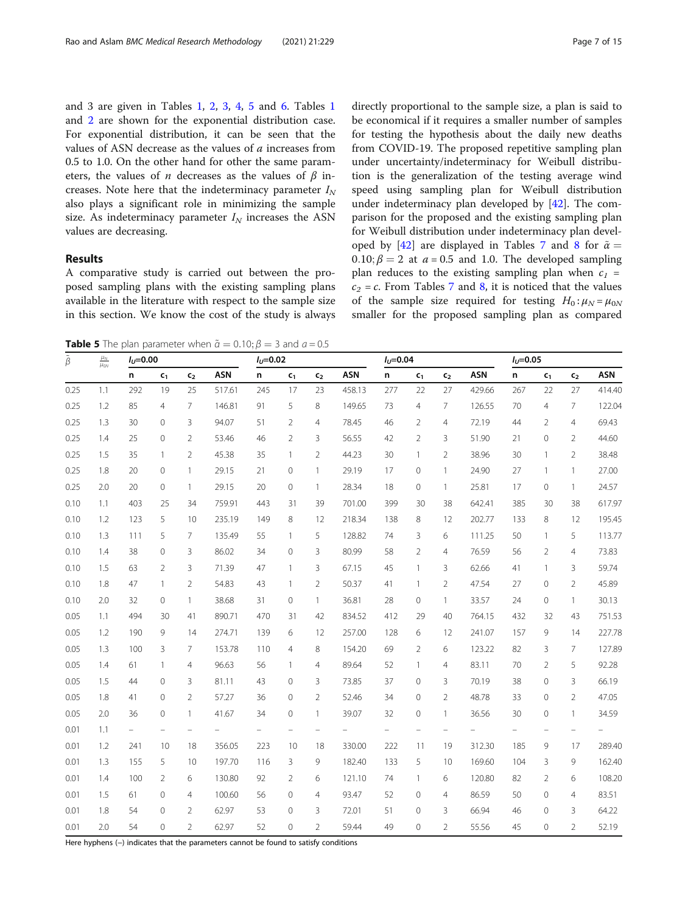and 3 are given in Tables [1](#page-2-0), [2,](#page-3-0) [3,](#page-4-0) [4,](#page-5-0) 5 and [6](#page-7-0). Tables [1](#page-2-0) and [2](#page-3-0) are shown for the exponential distribution case. For exponential distribution, it can be seen that the values of ASN decrease as the values of a increases from 0.5 to 1.0. On the other hand for other the same parameters, the values of *n* decreases as the values of  $\beta$  increases. Note here that the indeterminacy parameter  $I<sub>N</sub>$ also plays a significant role in minimizing the sample size. As indeterminacy parameter  $I_N$  increases the ASN values are decreasing.

## Results

A comparative study is carried out between the proposed sampling plans with the existing sampling plans available in the literature with respect to the sample size in this section. We know the cost of the study is always directly proportional to the sample size, a plan is said to be economical if it requires a smaller number of samples for testing the hypothesis about the daily new deaths from COVID-19. The proposed repetitive sampling plan under uncertainty/indeterminacy for Weibull distribution is the generalization of the testing average wind speed using sampling plan for Weibull distribution under indeterminacy plan developed by [[42\]](#page-14-0). The comparison for the proposed and the existing sampling plan for Weibull distribution under indeterminacy plan devel-oped by [[42](#page-14-0)] are displayed in Tables [7](#page-8-0) and [8](#page-9-0) for  $\tilde{\alpha} =$ 0.10;  $\beta = 2$  at  $a = 0.5$  and 1.0. The developed sampling plan reduces to the existing sampling plan when  $c_1$  =  $c_2 = c$ . From Tables [7](#page-8-0) and [8](#page-9-0), it is noticed that the values of the sample size required for testing  $H_0: \mu_N = \mu_{0N}$ smaller for the proposed sampling plan as compared

**Table 5** The plan parameter when  $\tilde{a} = 0.10; \beta = 3$  and  $a = 0.5$ 

| $\tilde{\beta}$ | $\underline{\mu}_N$<br>$\mu_{\rm ON}$ | $I_{11}=0.00$ |                |                |            | $I_U = 0.02$ |                          |                |            | $I_U = 0.04$ |                |                |            | $I_U = 0.05$ |                                |                |            |
|-----------------|---------------------------------------|---------------|----------------|----------------|------------|--------------|--------------------------|----------------|------------|--------------|----------------|----------------|------------|--------------|--------------------------------|----------------|------------|
|                 |                                       | n             | $c_{1}$        | $c_{2}$        | <b>ASN</b> | n            | $c_{1}$                  | $\mathsf{c}_2$ | <b>ASN</b> | n            | $\mathsf{c}_1$ | c <sub>2</sub> | <b>ASN</b> | n            | $\mathsf{c}_1$                 | c <sub>2</sub> | <b>ASN</b> |
| 0.25            | 1.1                                   | 292           | 19             | 25             | 517.61     | 245          | 17                       | 23             | 458.13     | 277          | 22             | 27             | 429.66     | 267          | 22                             | 27             | 414.40     |
| 0.25            | 1.2                                   | 85            | 4              | 7              | 146.81     | 91           | 5                        | 8              | 149.65     | 73           | $\overline{4}$ | 7              | 126.55     | 70           | 4                              | 7              | 122.04     |
| 0.25            | 1.3                                   | 30            | $\mathbf{0}$   | 3              | 94.07      | 51           | $\overline{2}$           | $\overline{4}$ | 78.45      | 46           | $\overline{2}$ | 4              | 72.19      | 44           | $\overline{2}$                 | 4              | 69.43      |
| 0.25            | 1.4                                   | 25            | $\mathbf{0}$   | 2              | 53.46      | 46           | $\overline{2}$           | 3              | 56.55      | 42           | $\overline{2}$ | 3              | 51.90      | 21           | $\mathbf 0$                    | 2              | 44.60      |
| 0.25            | 1.5                                   | 35            | $\mathbf{1}$   | $\overline{2}$ | 45.38      | 35           | 1                        | $\overline{2}$ | 44.23      | 30           | $\mathbf{1}$   | $\overline{2}$ | 38.96      | 30           | $\mathbf{1}$                   | $\overline{2}$ | 38.48      |
| 0.25            | 1.8                                   | 20            | $\mathbf{0}$   | $\mathbf{1}$   | 29.15      | 21           | 0                        | $\mathbf{1}$   | 29.19      | 17           | $\circ$        | $\mathbf{1}$   | 24.90      | 27           | $\mathbf{1}$                   | $\mathbf{1}$   | 27.00      |
| 0.25            | 2.0                                   | 20            | $\circ$        | $\mathbf{1}$   | 29.15      | 20           | 0                        | $\mathbf{1}$   | 28.34      | 18           | $\circ$        | $\mathbf{1}$   | 25.81      | 17           | $\circ$                        | 1              | 24.57      |
| 0.10            | 1.1                                   | 403           | 25             | 34             | 759.91     | 443          | 31                       | 39             | 701.00     | 399          | 30             | 38             | 642.41     | 385          | 30                             | 38             | 617.97     |
| 0.10            | 1.2                                   | 123           | 5              | 10             | 235.19     | 149          | 8                        | 12             | 218.34     | 138          | 8              | 12             | 202.77     | 133          | 8                              | 12             | 195.45     |
| 0.10            | 1.3                                   | 111           | 5              | $\overline{7}$ | 135.49     | 55           | 1                        | 5              | 128.82     | 74           | 3              | 6              | 111.25     | 50           | $\mathbf{1}$                   | 5              | 113.77     |
| 0.10            | 1.4                                   | 38            | $\mathbf 0$    | 3              | 86.02      | 34           | $\overline{0}$           | 3              | 80.99      | 58           | $\overline{2}$ | $\overline{4}$ | 76.59      | 56           | $\overline{2}$                 | 4              | 73.83      |
| 0.10            | 1.5                                   | 63            | $\overline{2}$ | 3              | 71.39      | 47           | 1                        | 3              | 67.15      | 45           | $\mathbf{1}$   | 3              | 62.66      | 41           | $\mathbf{1}$                   | 3              | 59.74      |
| 0.10            | 1.8                                   | 47            | $\mathbf{1}$   | $\overline{2}$ | 54.83      | 43           | 1                        | $\overline{2}$ | 50.37      | 41           | $\mathbf{1}$   | $\overline{2}$ | 47.54      | 27           | $\mathbf{0}$                   | $\overline{2}$ | 45.89      |
| 0.10            | 2.0                                   | 32            | $\circ$        | $\mathbf{1}$   | 38.68      | 31           | 0                        | $\mathbf{1}$   | 36.81      | 28           | $\circ$        | $\mathbf{1}$   | 33.57      | 24           | 0                              | $\mathbf{1}$   | 30.13      |
| 0.05            | 1.1                                   | 494           | 30             | 41             | 890.71     | 470          | 31                       | 42             | 834.52     | 412          | 29             | 40             | 764.15     | 432          | 32                             | 43             | 751.53     |
| 0.05            | 1.2                                   | 190           | 9              | 14             | 274.71     | 139          | 6                        | 12             | 257.00     | 128          | 6              | 12             | 241.07     | 157          | 9                              | 14             | 227.78     |
| 0.05            | 1.3                                   | 100           | 3              | $\overline{7}$ | 153.78     | 110          | 4                        | 8              | 154.20     | 69           | $\overline{2}$ | 6              | 123.22     | 82           | 3                              | 7              | 127.89     |
| 0.05            | 1.4                                   | 61            | $\mathbf{1}$   | 4              | 96.63      | 56           | 1                        | $\overline{4}$ | 89.64      | 52           | $\mathbf{1}$   | $\overline{4}$ | 83.11      | 70           | $\overline{2}$                 | 5              | 92.28      |
| 0.05            | 1.5                                   | 44            | $\circ$        | 3              | 81.11      | 43           | $\overline{0}$           | 3              | 73.85      | 37           | $\circ$        | 3              | 70.19      | 38           | $\mathbf{0}$                   | 3              | 66.19      |
| 0.05            | 1.8                                   | 41            | $\Omega$       | $\overline{2}$ | 57.27      | 36           | 0                        | $\overline{2}$ | 52.46      | 34           | $\Omega$       | $\overline{2}$ | 48.78      | 33           | $\Omega$                       | 2              | 47.05      |
| 0.05            | 2.0                                   | 36            | $\mathbf{0}$   | $\mathbf{1}$   | 41.67      | 34           | 0                        | $\mathbf{1}$   | 39.07      | 32           | $\circ$        | $\mathbf{1}$   | 36.56      | 30           | $\mathbf{0}$                   | 1              | 34.59      |
| 0.01            | 1.1                                   | $\frac{1}{2}$ |                |                |            |              | $\overline{\phantom{0}}$ | -              |            |              |                |                |            |              | $\qquad \qquad \longleftarrow$ |                |            |
| 0.01            | 1.2                                   | 241           | 10             | 18             | 356.05     | 223          | 10                       | 18             | 330.00     | 222          | 11             | 19             | 312.30     | 185          | 9                              | 17             | 289.40     |
| 0.01            | 1.3                                   | 155           | 5              | 10             | 197.70     | 116          | 3                        | 9              | 182.40     | 133          | 5              | 10             | 169.60     | 104          | 3                              | 9              | 162.40     |
| 0.01            | 1.4                                   | 100           | $\overline{2}$ | 6              | 130.80     | 92           | $\overline{2}$           | 6              | 121.10     | 74           | $\mathbf{1}$   | 6              | 120.80     | 82           | $\overline{2}$                 | 6              | 108.20     |
| 0.01            | 1.5                                   | 61            | $\mathbf{0}$   | $\overline{4}$ | 100.60     | 56           | 0                        | $\overline{4}$ | 93.47      | 52           | $\circ$        | $\overline{4}$ | 86.59      | 50           | 0                              | $\overline{4}$ | 83.51      |
| 0.01            | 1.8                                   | 54            | $\mathbf{0}$   | 2              | 62.97      | 53           | 0                        | 3              | 72.01      | 51           | $\Omega$       | 3              | 66.94      | 46           | $\mathbf{0}$                   | 3              | 64.22      |
| 0.01            | 2.0                                   | 54            | 0              | $\overline{2}$ | 62.97      | 52           | 0                        | $\overline{2}$ | 59.44      | 49           | 0              | $\overline{2}$ | 55.56      | 45           | $\mathbf 0$                    | $\overline{2}$ | 52.19      |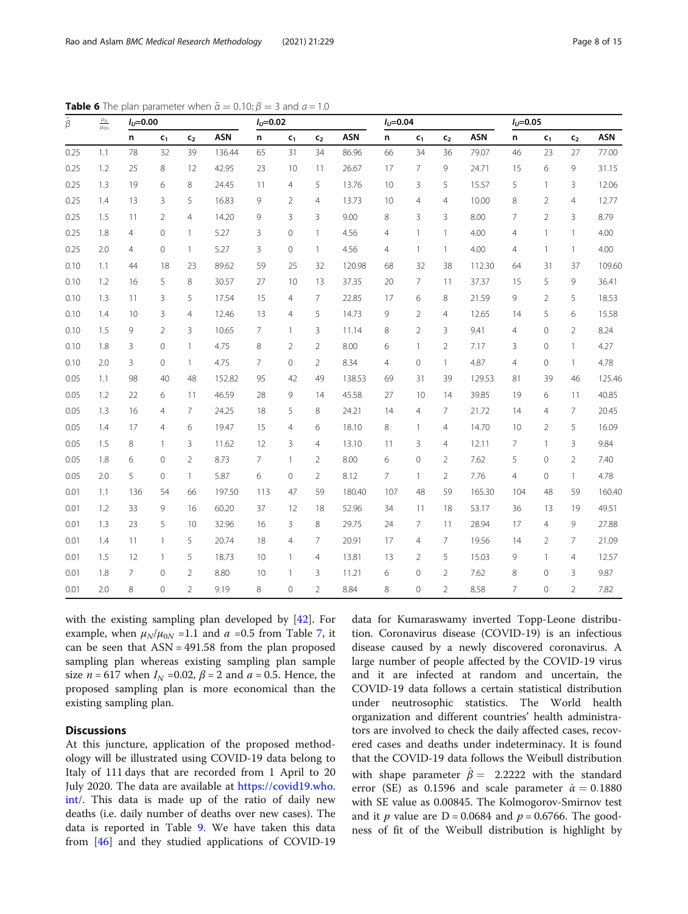| $\frac{\mu_N}{\mu_{0N}}$<br>$\tilde{\beta}$ |     | $I_{U} = 0.00$ |                |                |            | $I_U = 0.02$   |                |                |            | $I_U = 0.04$   |                |                |            | $I_U = 0.05$   |                |                |            |
|---------------------------------------------|-----|----------------|----------------|----------------|------------|----------------|----------------|----------------|------------|----------------|----------------|----------------|------------|----------------|----------------|----------------|------------|
|                                             |     | n              | $c_1$          | c <sub>2</sub> | <b>ASN</b> | n.             | c <sub>1</sub> | c <sub>2</sub> | <b>ASN</b> | n.             | c <sub>1</sub> | c <sub>2</sub> | <b>ASN</b> | n              | c <sub>1</sub> | c <sub>2</sub> | <b>ASN</b> |
| 0.25                                        | 1.1 | 78             | 32             | 39             | 136.44     | 65             | 31             | 34             | 86.96      | 66             | 34             | 36             | 79.07      | 46             | 23             | 27             | 77.00      |
| 0.25                                        | 1.2 | 25             | 8              | 12             | 42.95      | 23             | 10             | 11             | 26.67      | 17             | $\overline{7}$ | 9              | 24.71      | 15             | 6              | 9              | 31.15      |
| 0.25                                        | 1.3 | 19             | 6              | 8              | 24.45      | 11             | $\overline{4}$ | 5              | 13.76      | 10             | 3              | 5              | 15.57      | 5              | $\overline{1}$ | 3              | 12.06      |
| 0.25                                        | 1.4 | 13             | $\overline{3}$ | 5              | 16.83      | 9              | 2              | $\overline{4}$ | 13.73      | 10             | $\overline{4}$ | $\overline{4}$ | 10.00      | 8              | $\overline{2}$ | $\overline{4}$ | 12.77      |
| 0.25                                        | 1.5 | 11             | $\overline{2}$ | $\overline{4}$ | 14.20      | 9              | 3              | 3              | 9.00       | 8              | 3              | 3              | 8.00       | $\overline{7}$ | $\overline{2}$ | 3              | 8.79       |
| 0.25                                        | 1.8 | $\overline{4}$ | $\Omega$       | $\mathbf{1}$   | 5.27       | 3              | $\overline{0}$ | $\mathbf{1}$   | 4.56       | $\overline{4}$ | $\mathbf{1}$   | $\mathbf{1}$   | 4.00       | 4              | $\mathbf{1}$   | $\mathbf{1}$   | 4.00       |
| 0.25                                        | 2.0 | $\overline{4}$ | $\circ$        | $\mathbf{1}$   | 5.27       | 3              | $\overline{0}$ | $\mathbf{1}$   | 4.56       | $\overline{4}$ | $\mathbf{1}$   | $\mathbf{1}$   | 4.00       | $\overline{4}$ | 1              | $\mathbf{1}$   | 4.00       |
| 0.10                                        | 1.1 | 44             | 18             | 23             | 89.62      | 59             | 25             | 32             | 120.98     | 68             | 32             | 38             | 112.30     | 64             | 31             | 37             | 109.60     |
| 0.10                                        | 1.2 | 16             | 5              | 8              | 30.57      | 27             | 10             | 13             | 37.35      | 20             | $\overline{7}$ | 11             | 37.37      | 15             | 5              | 9              | 36.41      |
| 0.10                                        | 1.3 | 11             | 3              | 5              | 17.54      | 15             | $\overline{4}$ | $\overline{7}$ | 22.85      | 17             | 6              | 8              | 21.59      | 9              | $\overline{2}$ | 5              | 18.53      |
| 0.10                                        | 1.4 | 10             | 3              | $\overline{4}$ | 12.46      | 13             | $\overline{4}$ | 5              | 14.73      | 9              | $\overline{2}$ | $\overline{4}$ | 12.65      | 14             | 5              | 6              | 15.58      |
| 0.10                                        | 1.5 | 9              | $\overline{2}$ | 3              | 10.65      | $\overline{7}$ | $\mathbf{1}$   | 3              | 11.14      | 8              | $\overline{2}$ | $\overline{3}$ | 9.41       | 4              | $\overline{0}$ | $\overline{2}$ | 8.24       |
| 0.10                                        | 1.8 | 3              | $\Omega$       | $\mathbf{1}$   | 4.75       | 8              | 2              | $\overline{2}$ | 8.00       | 6              | $\mathbf{1}$   | $\overline{2}$ | 7.17       | 3              | $\Omega$       | $\mathbf{1}$   | 4.27       |
| 0.10                                        | 2.0 | 3              | $\Omega$       | $\mathbf{1}$   | 4.75       | $\overline{7}$ | $\overline{0}$ | $\overline{2}$ | 8.34       | $\overline{4}$ | 0              | $\mathbf{1}$   | 4.87       | 4              | $\mathbf{0}$   | $\mathbf{1}$   | 4.78       |
| 0.05                                        | 1.1 | 98             | 40             | 48             | 152.82     | 95             | 42             | 49             | 138.53     | 69             | 31             | 39             | 129.53     | 81             | 39             | 46             | 125.46     |
| 0.05                                        | 1.2 | 22             | 6              | 11             | 46.59      | 28             | 9              | 14             | 45.58      | 27             | 10             | 14             | 39.85      | 19             | 6              | 11             | 40.85      |
| 0.05                                        | 1.3 | 16             | $\overline{4}$ | $\overline{7}$ | 24.25      | 18             | 5              | 8              | 24.21      | 14             | $\overline{4}$ | $\overline{7}$ | 21.72      | 14             | $\overline{4}$ | 7              | 20.45      |
| 0.05                                        | 1.4 | 17             | $\overline{4}$ | 6              | 19.47      | 15             | $\overline{4}$ | 6              | 18.10      | 8              | $\mathbf{1}$   | $\overline{4}$ | 14.70      | 10             | $\overline{2}$ | 5              | 16.09      |
| 0.05                                        | 1.5 | 8              | $\mathbf{1}$   | 3              | 11.62      | 12             | 3              | $\overline{4}$ | 13.10      | 11             | 3              | $\overline{4}$ | 12.11      | 7              | $\mathbf{1}$   | 3              | 9.84       |
| 0.05                                        | 1.8 | 6              | $\mathbf{0}$   | $\overline{2}$ | 8.73       | 7              | $\mathbf{1}$   | $\overline{2}$ | 8.00       | 6              | $\overline{O}$ | $\overline{2}$ | 7.62       | 5              | $\mathbf{0}$   | $\overline{2}$ | 7.40       |
| 0.05                                        | 2.0 | 5              | $\Omega$       | $\mathbf{1}$   | 5.87       | 6              | $\overline{0}$ | $\overline{2}$ | 8.12       | $\overline{7}$ | $\mathbf{1}$   | $\overline{2}$ | 7.76       | 4              | $\Omega$       | $\mathbf{1}$   | 4.78       |
| 0.01                                        | 1.1 | 136            | 54             | 66             | 197.50     | 113            | 47             | 59             | 180.40     | 107            | 48             | 59             | 165.30     | 104            | 48             | 59             | 160.40     |
| 0.01                                        | 1.2 | 33             | 9              | 16             | 60.20      | 37             | 12             | 18             | 52.96      | 34             | 11             | 18             | 53.17      | 36             | 13             | 19             | 49.51      |
| 0.01                                        | 1.3 | 23             | 5              | 10             | 32.96      | 16             | 3              | 8              | 29.75      | 24             | 7              | 11             | 28.94      | 17             | $\overline{4}$ | 9              | 27.88      |
| 0.01                                        | 1.4 | 11             | $\mathbf{1}$   | 5              | 20.74      | 18             | $\overline{4}$ | 7              | 20.91      | 17             | $\overline{4}$ | $\overline{7}$ | 19.56      | 14             | $\overline{2}$ | 7              | 21.09      |
| 0.01                                        | 1.5 | 12             | $\mathbf{1}$   | 5              | 18.73      | 10             | $\mathbf{1}$   | $\overline{4}$ | 13.81      | 13             | $\overline{2}$ | 5              | 15.03      | 9              | $\mathbf{1}$   | $\overline{4}$ | 12.57      |
| 0.01                                        | 1.8 | $\overline{7}$ | $\overline{0}$ | $\overline{2}$ | 8.80       | 10             | $\mathbf{1}$   | 3              | 11.21      | 6              | $\Omega$       | $\overline{2}$ | 7.62       | 8              | $\mathbf{0}$   | 3              | 9.87       |
| 0.01                                        | 2.0 | 8              | $\overline{0}$ | $\overline{2}$ | 9.19       | 8              | $\overline{0}$ | $\overline{2}$ | 8.84       | 8              | $\Omega$       | $\overline{2}$ | 8.58       | $\overline{7}$ | $\overline{0}$ | $\overline{2}$ | 7.82       |

<span id="page-7-0"></span>**Table 6** The plan parameter when  $\tilde{a} = 0.10; \beta = 3$  and  $a = 1.0$ 

with the existing sampling plan developed by [\[42](#page-14-0)]. For example, when  $\mu_N/\mu_{0N}$  =1.1 and  $a$  =0.5 from Table [7](#page-8-0), it can be seen that  $ASN = 491.58$  from the plan proposed sampling plan whereas existing sampling plan sample size  $n = 617$  when  $I_N = 0.02$ ,  $\beta = 2$  and  $a = 0.5$ . Hence, the proposed sampling plan is more economical than the existing sampling plan.

## **Discussions**

At this juncture, application of the proposed methodology will be illustrated using COVID-19 data belong to Italy of 111 days that are recorded from 1 April to 20 July 2020. The data are available at [https://covid19.who.](https://covid19.who.int/) [int/](https://covid19.who.int/). This data is made up of the ratio of daily new deaths (i.e. daily number of deaths over new cases). The data is reported in Table [9](#page-9-0). We have taken this data from [[46](#page-14-0)] and they studied applications of COVID-19 data for Kumaraswamy inverted Topp-Leone distribution. Coronavirus disease (COVID-19) is an infectious disease caused by a newly discovered coronavirus. A large number of people affected by the COVID-19 virus and it are infected at random and uncertain, the COVID-19 data follows a certain statistical distribution under neutrosophic statistics. The World health organization and different countries' health administrators are involved to check the daily affected cases, recovered cases and deaths under indeterminacy. It is found that the COVID-19 data follows the Weibull distribution with shape parameter  $\hat{\beta} = 2.2222$  with the standard error (SE) as 0.1596 and scale parameter  $\hat{\alpha} = 0.1880$ with SE value as 0.00845. The Kolmogorov-Smirnov test and it p value are  $D = 0.0684$  and  $p = 0.6766$ . The goodness of fit of the Weibull distribution is highlight by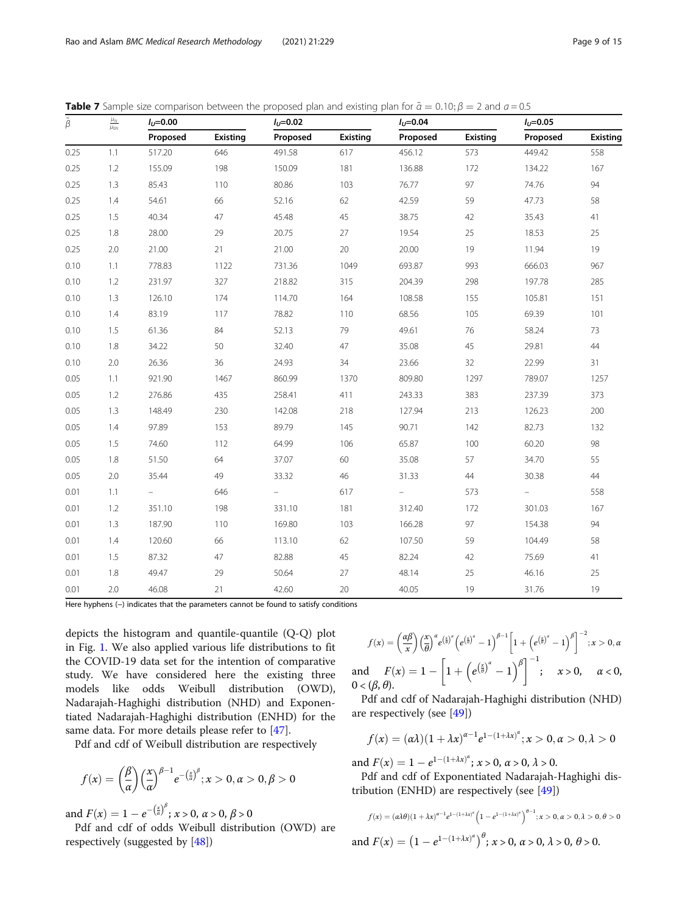| $\tilde{\beta}$ | $\frac{\mu_N}{\mu_{0N}}$ | $I_{U} = 0.00$ |          | $I_{U} = 0.02$ |          | $I_{U} = 0.04$ |                 | $I_{U} = 0.05$ |                 |
|-----------------|--------------------------|----------------|----------|----------------|----------|----------------|-----------------|----------------|-----------------|
|                 |                          | Proposed       | Existing | Proposed       | Existing | Proposed       | <b>Existing</b> | Proposed       | <b>Existing</b> |
| 0.25            | 1.1                      | 517.20         | 646      | 491.58         | 617      | 456.12         | 573             | 449.42         | 558             |
| 0.25            | 1.2                      | 155.09         | 198      | 150.09         | 181      | 136.88         | 172             | 134.22         | 167             |
| 0.25            | 1.3                      | 85.43          | 110      | 80.86          | 103      | 76.77          | 97              | 74.76          | 94              |
| 0.25            | 1.4                      | 54.61          | 66       | 52.16          | 62       | 42.59          | 59              | 47.73          | 58              |
| 0.25            | 1.5                      | 40.34          | 47       | 45.48          | 45       | 38.75          | 42              | 35.43          | 41              |
| 0.25            | 1.8                      | 28.00          | 29       | 20.75          | 27       | 19.54          | 25              | 18.53          | 25              |
| 0.25            | 2.0                      | 21.00          | 21       | 21.00          | 20       | 20.00          | 19              | 11.94          | 19              |
| 0.10            | 1.1                      | 778.83         | 1122     | 731.36         | 1049     | 693.87         | 993             | 666.03         | 967             |
| 0.10            | 1.2                      | 231.97         | 327      | 218.82         | 315      | 204.39         | 298             | 197.78         | 285             |
| 0.10            | 1.3                      | 126.10         | 174      | 114.70         | 164      | 108.58         | 155             | 105.81         | 151             |
| 0.10            | 1.4                      | 83.19          | 117      | 78.82          | 110      | 68.56          | 105             | 69.39          | 101             |
| 0.10            | 1.5                      | 61.36          | 84       | 52.13          | 79       | 49.61          | 76              | 58.24          | 73              |
| 0.10            | 1.8                      | 34.22          | 50       | 32.40          | 47       | 35.08          | 45              | 29.81          | 44              |
| 0.10            | $2.0\,$                  | 26.36          | 36       | 24.93          | 34       | 23.66          | 32              | 22.99          | 31              |
| 0.05            | 1.1                      | 921.90         | 1467     | 860.99         | 1370     | 809.80         | 1297            | 789.07         | 1257            |
| 0.05            | 1.2                      | 276.86         | 435      | 258.41         | 411      | 243.33         | 383             | 237.39         | 373             |
| 0.05            | 1.3                      | 148.49         | 230      | 142.08         | 218      | 127.94         | 213             | 126.23         | 200             |
| 0.05            | 1.4                      | 97.89          | 153      | 89.79          | 145      | 90.71          | 142             | 82.73          | 132             |
| 0.05            | 1.5                      | 74.60          | 112      | 64.99          | 106      | 65.87          | 100             | 60.20          | 98              |
| 0.05            | 1.8                      | 51.50          | 64       | 37.07          | 60       | 35.08          | 57              | 34.70          | 55              |
| 0.05            | 2.0                      | 35.44          | 49       | 33.32          | $46\,$   | 31.33          | 44              | 30.38          | 44              |
| 0.01            | 1.1                      |                | 646      |                | 617      |                | 573             |                | 558             |
| 0.01            | 1.2                      | 351.10         | 198      | 331.10         | 181      | 312.40         | 172             | 301.03         | 167             |
| 0.01            | 1.3                      | 187.90         | 110      | 169.80         | 103      | 166.28         | 97              | 154.38         | 94              |
| 0.01            | 1.4                      | 120.60         | 66       | 113.10         | 62       | 107.50         | 59              | 104.49         | 58              |
| 0.01            | 1.5                      | 87.32          | 47       | 82.88          | 45       | 82.24          | 42              | 75.69          | 41              |
| 0.01            | 1.8                      | 49.47          | 29       | 50.64          | 27       | 48.14          | 25              | 46.16          | 25              |
| 0.01            | 2.0                      | 46.08          | 21       | 42.60          | 20       | 40.05          | 19              | 31.76          | 19              |

<span id="page-8-0"></span>**Table 7** Sample size comparison between the proposed plan and existing plan for  $\tilde{\alpha} = 0.10$ ;  $\beta = 2$  and  $a = 0.5$ 

Here hyphens (-) indicates that the parameters cannot be found to satisfy conditions

depicts the histogram and quantile-quantile (Q-Q) plot in Fig. [1.](#page-10-0) We also applied various life distributions to fit the COVID-19 data set for the intention of comparative study. We have considered here the existing three models like odds Weibull distribution (OWD), Nadarajah-Haghighi distribution (NHD) and Exponentiated Nadarajah-Haghighi distribution (ENHD) for the same data. For more details please refer to [[47\]](#page-14-0).

Pdf and cdf of Weibull distribution are respectively

$$
f(x) = \left(\frac{\beta}{\alpha}\right) \left(\frac{x}{\alpha}\right)^{\beta-1} e^{-\left(\frac{x}{\alpha}\right)^{\beta}}; x > 0, \alpha > 0, \beta > 0
$$

and  $F(x) = 1 - e^{-\left(\frac{x}{a}\right)^{\beta}}$ ;  $x > 0$ ,  $\alpha > 0$ ,  $\beta > 0$ 

Pdf and cdf of odds Weibull distribution (OWD) are respectively (suggested by [\[48](#page-14-0)])

$$
f(x) = \left(\frac{\alpha\beta}{x}\right) \left(\frac{x}{\theta}\right)^{\alpha} e^{\left(\frac{x}{\theta}\right)^{\alpha}} \left(e^{\left(\frac{x}{\theta}\right)^{\alpha}} - 1\right)^{\beta - 1} \left[1 + \left(e^{\left(\frac{x}{\theta}\right)^{\alpha}} - 1\right)^{\beta}\right]^{-2}; x > 0, \alpha
$$
  
and 
$$
F(x) = 1 - \left[1 + \left(e^{\left(\frac{x}{\theta}\right)^{\alpha}} - 1\right)^{\beta}\right]^{-1}; \quad x > 0, \quad \alpha < 0,
$$

$$
0 < (\beta, \theta).
$$

Pdf and cdf of Nadarajah-Haghighi distribution (NHD) are respectively (see [\[49](#page-14-0)])

$$
f(x) = (\alpha \lambda)(1 + \lambda x)^{\alpha - 1} e^{1 - (1 + \lambda x)^{\alpha}}; x > 0, \alpha > 0, \lambda > 0
$$

and  $F(x) = 1 - e^{1 - (1 + \lambda x)^{\alpha}}$ ;  $x > 0$ ,  $\alpha > 0$ ,  $\lambda > 0$ .

Pdf and cdf of Exponentiated Nadarajah-Haghighi distribution (ENHD) are respectively (see [\[49](#page-14-0)])

$$
f(x) = (\alpha \lambda \theta)(1 + \lambda x)^{\alpha - 1} e^{1 - (1 + \lambda x)^{\alpha}} \left(1 - e^{1 - (1 + \lambda x)^{\alpha}}\right)^{\theta - 1}; x > 0, \alpha > 0, \lambda > 0, \theta > 0
$$
  
and  $F(x) = \left(1 - e^{1 - (1 + \lambda x)^{\alpha}}\right)^{\theta}; x > 0, \alpha > 0, \lambda > 0, \theta > 0.$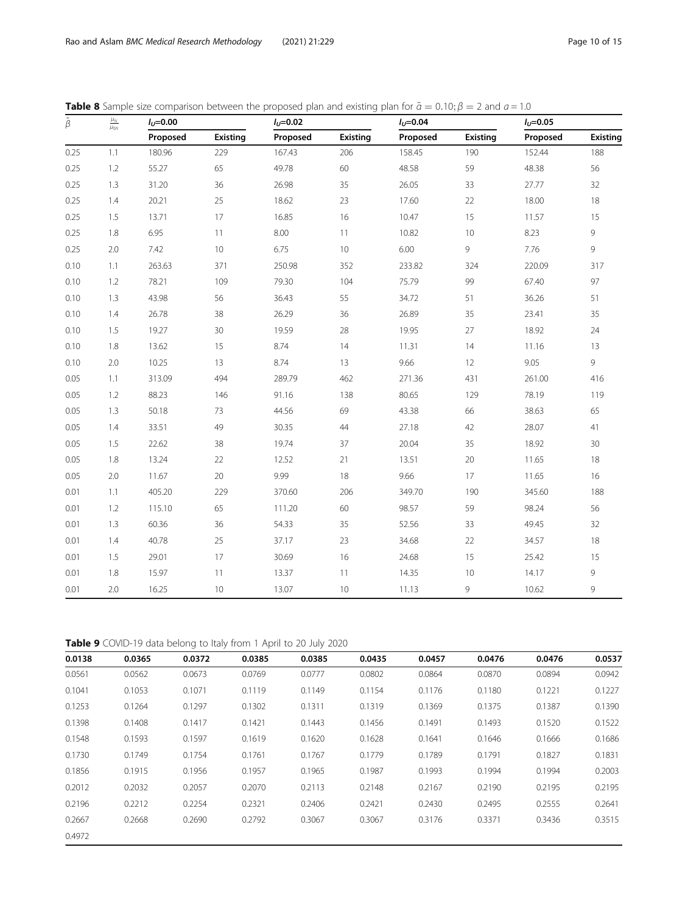| $\tilde{\boldsymbol{\beta}}$ | $\frac{\mu_N}{\mu_{0N}}$ | $I_{U} = 0.00$ |          | $I_{U} = 0.02$ |          | $I_{U} = 0.04$ |          | $I_{U} = 0.05$ |                 |
|------------------------------|--------------------------|----------------|----------|----------------|----------|----------------|----------|----------------|-----------------|
|                              |                          | Proposed       | Existing | Proposed       | Existing | Proposed       | Existing | Proposed       | <b>Existing</b> |
| 0.25                         | 1.1                      | 180.96         | 229      | 167.43         | 206      | 158.45         | 190      | 152.44         | 188             |
| 0.25                         | 1.2                      | 55.27          | 65       | 49.78          | 60       | 48.58          | 59       | 48.38          | 56              |
| 0.25                         | 1.3                      | 31.20          | 36       | 26.98          | 35       | 26.05          | 33       | 27.77          | 32              |
| 0.25                         | 1.4                      | 20.21          | 25       | 18.62          | 23       | 17.60          | 22       | 18.00          | $18\,$          |
| 0.25                         | 1.5                      | 13.71          | 17       | 16.85          | 16       | 10.47          | 15       | 11.57          | 15              |
| 0.25                         | 1.8                      | 6.95           | 11       | 8.00           | 11       | 10.82          | 10       | 8.23           | 9               |
| 0.25                         | 2.0                      | 7.42           | 10       | 6.75           | 10       | 6.00           | 9        | 7.76           | $\overline{9}$  |
| 0.10                         | 1.1                      | 263.63         | 371      | 250.98         | 352      | 233.82         | 324      | 220.09         | 317             |
| 0.10                         | $1.2\,$                  | 78.21          | 109      | 79.30          | 104      | 75.79          | 99       | 67.40          | 97              |
| 0.10                         | 1.3                      | 43.98          | 56       | 36.43          | 55       | 34.72          | 51       | 36.26          | 51              |
| 0.10                         | 1.4                      | 26.78          | 38       | 26.29          | 36       | 26.89          | 35       | 23.41          | 35              |
| 0.10                         | 1.5                      | 19.27          | 30       | 19.59          | 28       | 19.95          | 27       | 18.92          | 24              |
| 0.10                         | 1.8                      | 13.62          | 15       | 8.74           | 14       | 11.31          | 14       | 11.16          | 13              |
| 0.10                         | 2.0                      | 10.25          | 13       | 8.74           | 13       | 9.66           | 12       | 9.05           | $\overline{9}$  |
| 0.05                         | 1.1                      | 313.09         | 494      | 289.79         | 462      | 271.36         | 431      | 261.00         | 416             |
| 0.05                         | $1.2\,$                  | 88.23          | 146      | 91.16          | 138      | 80.65          | 129      | 78.19          | 119             |
| 0.05                         | 1.3                      | 50.18          | 73       | 44.56          | 69       | 43.38          | 66       | 38.63          | 65              |
| 0.05                         | 1.4                      | 33.51          | 49       | 30.35          | 44       | 27.18          | 42       | 28.07          | 41              |
| 0.05                         | 1.5                      | 22.62          | 38       | 19.74          | 37       | 20.04          | 35       | 18.92          | 30              |
| 0.05                         | 1.8                      | 13.24          | 22       | 12.52          | 21       | 13.51          | 20       | 11.65          | 18              |
| 0.05                         | 2.0                      | 11.67          | 20       | 9.99           | 18       | 9.66           | 17       | 11.65          | 16              |
| 0.01                         | 1.1                      | 405.20         | 229      | 370.60         | 206      | 349.70         | 190      | 345.60         | 188             |
| 0.01                         | $1.2\,$                  | 115.10         | 65       | 111.20         | 60       | 98.57          | 59       | 98.24          | 56              |
| 0.01                         | 1.3                      | 60.36          | 36       | 54.33          | 35       | 52.56          | 33       | 49.45          | 32              |
| 0.01                         | 1.4                      | 40.78          | 25       | 37.17          | 23       | 34.68          | 22       | 34.57          | 18              |
| 0.01                         | 1.5                      | 29.01          | 17       | 30.69          | 16       | 24.68          | 15       | 25.42          | 15              |
| 0.01                         | 1.8                      | 15.97          | 11       | 13.37          | 11       | 14.35          | 10       | 14.17          | 9               |
| 0.01                         | 2.0                      | 16.25          | 10       | 13.07          | 10       | 11.13          | 9        | 10.62          | 9               |

<span id="page-9-0"></span>**Table 8** Sample size comparison between the proposed plan and existing plan for  $\tilde{a} = 0.10$ ;  $\beta = 2$  and  $a = 1.0$ 

Table 9 COVID-19 data belong to Italy from 1 April to 20 July 2020

| 0.0138 | 0.0365 | 0.0372 | 0.0385 | 0.0385 | 0.0435 | 0.0457 | 0.0476 | 0.0476 | 0.0537 |
|--------|--------|--------|--------|--------|--------|--------|--------|--------|--------|
| 0.0561 | 0.0562 | 0.0673 | 0.0769 | 0.0777 | 0.0802 | 0.0864 | 0.0870 | 0.0894 | 0.0942 |
| 0.1041 | 0.1053 | 0.1071 | 0.1119 | 0.1149 | 0.1154 | 0.1176 | 0.1180 | 0.1221 | 0.1227 |
| 0.1253 | 0.1264 | 0.1297 | 0.1302 | 0.1311 | 0.1319 | 0.1369 | 0.1375 | 0.1387 | 0.1390 |
| 0.1398 | 0.1408 | 0.1417 | 0.1421 | 0.1443 | 0.1456 | 0.1491 | 0.1493 | 0.1520 | 0.1522 |
| 0.1548 | 0.1593 | 0.1597 | 0.1619 | 0.1620 | 0.1628 | 0.1641 | 0.1646 | 0.1666 | 0.1686 |
| 0.1730 | 0.1749 | 0.1754 | 0.1761 | 0.1767 | 0.1779 | 0.1789 | 0.1791 | 0.1827 | 0.1831 |
| 0.1856 | 0.1915 | 0.1956 | 0.1957 | 0.1965 | 0.1987 | 0.1993 | 0.1994 | 0.1994 | 0.2003 |
| 0.2012 | 0.2032 | 0.2057 | 0.2070 | 0.2113 | 0.2148 | 0.2167 | 0.2190 | 0.2195 | 0.2195 |
| 0.2196 | 0.2212 | 0.2254 | 0.2321 | 0.2406 | 0.2421 | 0.2430 | 0.2495 | 0.2555 | 0.2641 |
| 0.2667 | 0.2668 | 0.2690 | 0.2792 | 0.3067 | 0.3067 | 0.3176 | 0.3371 | 0.3436 | 0.3515 |
| 0.4972 |        |        |        |        |        |        |        |        |        |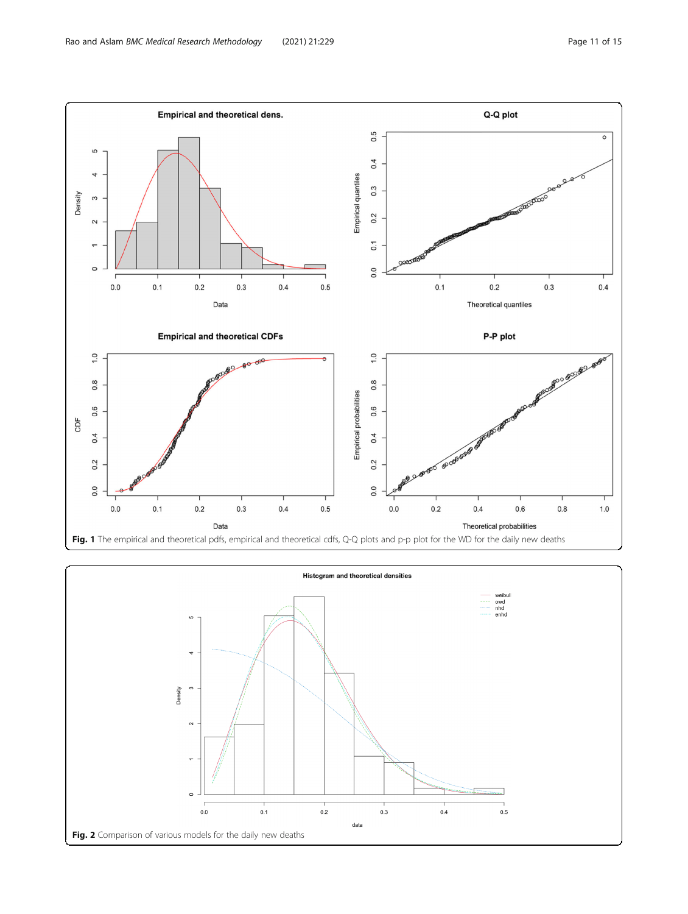<span id="page-10-0"></span>

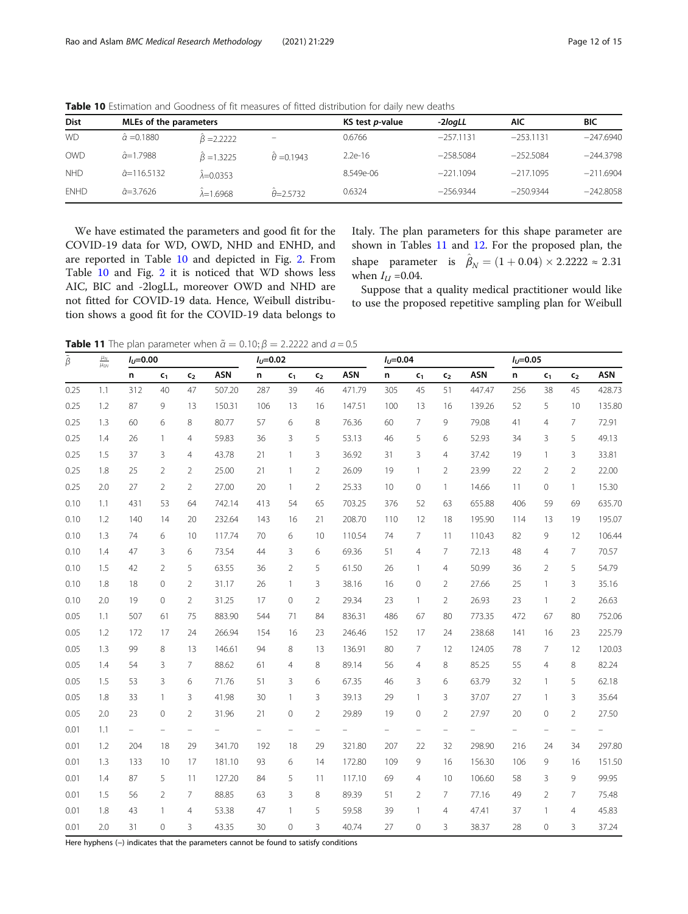| <b>Dist</b> | MLEs of the parameters |                    |                         | KS test <i>p</i> -value | -2loaLL     | AIC         | BIC         |
|-------------|------------------------|--------------------|-------------------------|-------------------------|-------------|-------------|-------------|
| <b>WD</b>   | $\hat{a} = 0.1880$     | $\beta = 2.2222$   | -                       | 0.6766                  | $-257.1131$ | $-253.1131$ | $-247.6940$ |
| <b>OWD</b>  | $\hat{a} = 1.7988$     | $\beta = 1.3225$   | $\hat{\theta} = 0.1943$ | $2.2e-16$               | $-258.5084$ | $-252.5084$ | $-244.3798$ |
| <b>NHD</b>  | $\hat{a}$ =116.5132    | $\lambda = 0.0353$ |                         | 8.549e-06               | $-221.1094$ | $-217.1095$ | $-211.6904$ |
| <b>ENHD</b> | $\hat{a}=3.7626$       | $\lambda = 1.6968$ | $\theta = 2.5732$       | 0.6324                  | $-256.9344$ | $-250.9344$ | $-242.8058$ |

<span id="page-11-0"></span>Table 10 Estimation and Goodness of fit measures of fitted distribution for daily new deaths

We have estimated the parameters and good fit for the COVID-19 data for WD, OWD, NHD and ENHD, and are reported in Table 10 and depicted in Fig. [2.](#page-10-0) From Table 10 and Fig. [2](#page-10-0) it is noticed that WD shows less AIC, BIC and -2logLL, moreover OWD and NHD are not fitted for COVID-19 data. Hence, Weibull distribution shows a good fit for the COVID-19 data belongs to Italy. The plan parameters for this shape parameter are shown in Tables 11 and [12.](#page-12-0) For the proposed plan, the shape parameter is  $\hat{\beta}_N = (1 + 0.04) \times 2.2222 \approx 2.31$ when  $I_U = 0.04$ .

Suppose that a quality medical practitioner would like to use the proposed repetitive sampling plan for Weibull

**Table 11** The plan parameter when  $\tilde{\alpha} = 0.10$ ;  $\beta = 2.2222$  and  $a = 0.5$ 

| $\tilde{\beta}$ | $\frac{\mu_N}{\mu_{0N}}$ | $I_{U} = 0.00$ |                   |                          |            | $I_U = 0.02$ |                |                   |            | $I_U = 0.04$             |                   |                          |            | $I_U = 0.05$ |                          |                   |        |
|-----------------|--------------------------|----------------|-------------------|--------------------------|------------|--------------|----------------|-------------------|------------|--------------------------|-------------------|--------------------------|------------|--------------|--------------------------|-------------------|--------|
|                 |                          | n              | $c_{1}$           | $\mathsf{c}_2$           | <b>ASN</b> | n            | $c_{1}$        | $\mathsf{c}_2$    | <b>ASN</b> | n                        | $c_{1}$           | $\mathsf{c}_2$           | <b>ASN</b> | n            | c <sub>1</sub>           | c <sub>2</sub>    | ASN    |
| 0.25            | 1.1                      | 312            | 40                | 47                       | 507.20     | 287          | 39             | 46                | 471.79     | 305                      | 45                | 51                       | 447.47     | 256          | 38                       | 45                | 428.73 |
| 0.25            | 1.2                      | 87             | 9                 | 13                       | 150.31     | 106          | 13             | 16                | 147.51     | 100                      | 13                | 16                       | 139.26     | 52           | 5                        | 10                | 135.80 |
| 0.25            | 1.3                      | 60             | 6                 | 8                        | 80.77      | 57           | 6              | 8                 | 76.36      | 60                       | $\overline{7}$    | 9                        | 79.08      | 41           | $\overline{4}$           | 7                 | 72.91  |
| 0.25            | 1.4                      | 26             | $\mathbf{1}$      | $\overline{4}$           | 59.83      | 36           | 3              | 5                 | 53.13      | 46                       | 5                 | 6                        | 52.93      | 34           | 3                        | 5                 | 49.13  |
| 0.25            | 1.5                      | 37             | 3                 | $\overline{4}$           | 43.78      | 21           | 1              | 3                 | 36.92      | 31                       | 3                 | $\overline{4}$           | 37.42      | 19           | $\mathbf{1}$             | 3                 | 33.81  |
| 0.25            | 1.8                      | 25             | $\overline{2}$    | 2                        | 25.00      | 21           | 1              | $\overline{2}$    | 26.09      | 19                       | $\mathbf{1}$      | 2                        | 23.99      | 22           | $\overline{2}$           | $\overline{2}$    | 22.00  |
| 0.25            | 2.0                      | 27             | $\overline{2}$    | $\overline{2}$           | 27.00      | 20           | $\mathbf{1}$   | $\overline{2}$    | 25.33      | 10                       | $\circ$           | $\mathbf{1}$             | 14.66      | 11           | $\circ$                  | $\mathbf{1}$      | 15.30  |
| 0.10            | 1.1                      | 431            | 53                | 64                       | 742.14     | 413          | 54             | 65                | 703.25     | 376                      | 52                | 63                       | 655.88     | 406          | 59                       | 69                | 635.70 |
| 0.10            | 1.2                      | 140            | 14                | 20                       | 232.64     | 143          | 16             | 21                | 208.70     | 110                      | 12                | 18                       | 195.90     | 114          | 13                       | 19                | 195.07 |
| 0.10            | 1.3                      | 74             | 6                 | 10                       | 117.74     | 70           | 6              | 10                | 110.54     | 74                       | 7                 | 11                       | 110.43     | 82           | 9                        | 12                | 106.44 |
| 0.10            | 1.4                      | 47             | 3                 | 6                        | 73.54      | 44           | 3              | 6                 | 69.36      | 51                       | $\overline{4}$    | 7                        | 72.13      | 48           | $\overline{4}$           | 7                 | 70.57  |
| 0.10            | 1.5                      | 42             | $\overline{2}$    | 5                        | 63.55      | 36           | $\overline{2}$ | 5                 | 61.50      | 26                       | 1                 | $\overline{4}$           | 50.99      | 36           | $\overline{2}$           | 5                 | 54.79  |
| 0.10            | 1.8                      | 18             | $\circ$           | $\overline{2}$           | 31.17      | 26           | $\mathbf{1}$   | 3                 | 38.16      | 16                       | $\mathbf{0}$      | $\overline{2}$           | 27.66      | 25           | $\mathbf{1}$             | 3                 | 35.16  |
| 0.10            | 2.0                      | 19             | $\mathbf{0}$      | $\overline{2}$           | 31.25      | 17           | $\overline{0}$ | $\overline{2}$    | 29.34      | 23                       | $\mathbf{1}$      | $\overline{2}$           | 26.93      | 23           | $\mathbf{1}$             | 2                 | 26.63  |
| 0.05            | 1.1                      | 507            | 61                | 75                       | 883.90     | 544          | 71             | 84                | 836.31     | 486                      | 67                | 80                       | 773.35     | 472          | 67                       | 80                | 752.06 |
| 0.05            | 1.2                      | 172            | 17                | 24                       | 266.94     | 154          | 16             | 23                | 246.46     | 152                      | 17                | 24                       | 238.68     | 141          | 16                       | 23                | 225.79 |
| 0.05            | 1.3                      | 99             | 8                 | 13                       | 146.61     | 94           | 8              | 13                | 136.91     | 80                       | $\overline{7}$    | 12                       | 124.05     | 78           | $\overline{7}$           | 12                | 120.03 |
| 0.05            | 1.4                      | 54             | 3                 | $\overline{7}$           | 88.62      | 61           | $\overline{4}$ | 8                 | 89.14      | 56                       | $\overline{4}$    | 8                        | 85.25      | 55           | $\overline{4}$           | 8                 | 82.24  |
| 0.05            | 1.5                      | 53             | 3                 | 6                        | 71.76      | 51           | 3              | 6                 | 67.35      | 46                       | 3                 | 6                        | 63.79      | 32           | $\mathbf{1}$             | 5                 | 62.18  |
| 0.05            | 1.8                      | 33             | $\mathbf{1}$      | 3                        | 41.98      | 30           | 1              | 3                 | 39.13      | 29                       | $\mathbf{1}$      | 3                        | 37.07      | 27           | $\mathbf{1}$             | 3                 | 35.64  |
| 0.05            | 2.0                      | 23             | $\mathbf{0}$      | $\overline{2}$           | 31.96      | 21           | $\overline{0}$ | $\overline{2}$    | 29.89      | 19                       | $\mathbf{0}$      | $\overline{2}$           | 27.97      | 20           | $\mathbf 0$              | $\overline{2}$    | 27.50  |
| 0.01            | 1.1                      | $\frac{1}{2}$  | $\qquad \qquad -$ | $\overline{\phantom{0}}$ |            |              | $\equiv$       | $\qquad \qquad -$ |            | $\overline{\phantom{0}}$ | $\qquad \qquad -$ | $\overline{\phantom{0}}$ |            | $\equiv$     | $\overline{\phantom{0}}$ | $\qquad \qquad -$ |        |
| 0.01            | 1.2                      | 204            | 18                | 29                       | 341.70     | 192          | 18             | 29                | 321.80     | 207                      | 22                | 32                       | 298.90     | 216          | 24                       | 34                | 297.80 |
| 0.01            | 1.3                      | 133            | 10                | 17                       | 181.10     | 93           | 6              | 14                | 172.80     | 109                      | 9                 | 16                       | 156.30     | 106          | 9                        | 16                | 151.50 |
| 0.01            | 1.4                      | 87             | 5                 | 11                       | 127.20     | 84           | 5              | 11                | 117.10     | 69                       | $\overline{4}$    | 10 <sup>°</sup>          | 106.60     | 58           | 3                        | 9                 | 99.95  |
| 0.01            | 1.5                      | 56             | 2                 | 7                        | 88.85      | 63           | 3              | 8                 | 89.39      | 51                       | 2                 | 7                        | 77.16      | 49           | $\overline{2}$           | 7                 | 75.48  |
| 0.01            | 1.8                      | 43             | $\mathbf{1}$      | $\overline{4}$           | 53.38      | 47           | 1              | 5                 | 59.58      | 39                       | $\mathbf{1}$      | $\overline{4}$           | 47.41      | 37           | $\mathbf{1}$             | 4                 | 45.83  |
| 0.01            | 2.0                      | 31             | 0                 | 3                        | 43.35      | 30           | $\overline{0}$ | 3                 | 40.74      | 27                       | $\mathbf 0$       | 3                        | 38.37      | 28           | $\mathbf{0}$             | 3                 | 37.24  |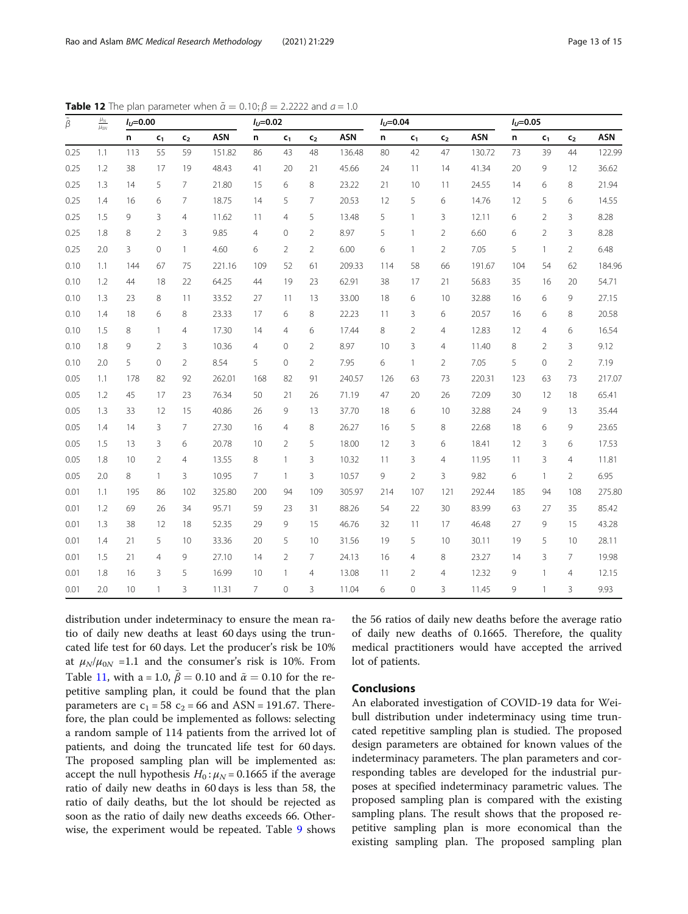| $\frac{\mu_N}{\mu_{0N}}$<br>$\tilde{\beta}$ | $I_U = 0.00$ |                 |                |                | $I_U = 0.02$ |                |                |                | $I_U = 0.04$ |     |                |                | $I_U = 0.05$ |     |                |                |            |
|---------------------------------------------|--------------|-----------------|----------------|----------------|--------------|----------------|----------------|----------------|--------------|-----|----------------|----------------|--------------|-----|----------------|----------------|------------|
|                                             |              | n               | C <sub>1</sub> | C <sub>2</sub> | <b>ASN</b>   | n              | c <sub>1</sub> | C <sub>2</sub> | <b>ASN</b>   | n   | $c_{1}$        | c <sub>2</sub> | <b>ASN</b>   | n   | c <sub>1</sub> | c <sub>2</sub> | <b>ASN</b> |
| 0.25                                        | 1.1          | 113             | 55             | 59             | 151.82       | 86             | 43             | 48             | 136.48       | 80  | 42             | 47             | 130.72       | 73  | 39             | 44             | 122.99     |
| 0.25                                        | 1.2          | 38              | 17             | 19             | 48.43        | 41             | 20             | 21             | 45.66        | 24  | 11             | 14             | 41.34        | 20  | 9              | 12             | 36.62      |
| 0.25                                        | 1.3          | 14              | 5              | $\overline{7}$ | 21.80        | 15             | 6              | 8              | 23.22        | 21  | 10             | 11             | 24.55        | 14  | 6              | 8              | 21.94      |
| 0.25                                        | 1.4          | 16              | 6              | $\overline{7}$ | 18.75        | 14             | 5              | $\overline{7}$ | 20.53        | 12  | 5              | 6              | 14.76        | 12  | 5              | 6              | 14.55      |
| 0.25                                        | 1.5          | 9               | 3              | 4              | 11.62        | 11             | 4              | 5              | 13.48        | 5   | $\mathbf{1}$   | 3              | 12.11        | 6   | $\overline{2}$ | 3              | 8.28       |
| 0.25                                        | 1.8          | 8               | $\overline{2}$ | 3              | 9.85         | $\overline{4}$ | $\mathbf{0}$   | $\overline{2}$ | 8.97         | 5   | $\mathbf{1}$   | $\overline{2}$ | 6.60         | 6   | $\overline{2}$ | 3              | 8.28       |
| 0.25                                        | 2.0          | 3               | $\circ$        | $\overline{1}$ | 4.60         | 6              | $\overline{2}$ | $\overline{2}$ | 6.00         | 6   | $\mathbf{1}$   | $\overline{2}$ | 7.05         | 5   | $\mathbf{1}$   | $\overline{2}$ | 6.48       |
| 0.10                                        | 1.1          | 144             | 67             | 75             | 221.16       | 109            | 52             | 61             | 209.33       | 114 | 58             | 66             | 191.67       | 104 | 54             | 62             | 184.96     |
| 0.10                                        | 1.2          | 44              | 18             | 22             | 64.25        | 44             | 19             | 23             | 62.91        | 38  | 17             | 21             | 56.83        | 35  | 16             | 20             | 54.71      |
| 0.10                                        | 1.3          | 23              | 8              | 11             | 33.52        | 27             | 11             | 13             | 33.00        | 18  | 6              | 10             | 32.88        | 16  | 6              | 9              | 27.15      |
| 0.10                                        | 1.4          | 18              | 6              | 8              | 23.33        | 17             | 6              | 8              | 22.23        | 11  | 3              | 6              | 20.57        | 16  | 6              | 8              | 20.58      |
| 0.10                                        | 1.5          | 8               | 1              | $\overline{4}$ | 17.30        | 14             | $\overline{4}$ | 6              | 17.44        | 8   | $\overline{2}$ | $\overline{4}$ | 12.83        | 12  | $\overline{4}$ | 6              | 16.54      |
| 0.10                                        | 1.8          | 9               | $\overline{2}$ | 3              | 10.36        | 4              | $\mathbf{0}$   | $\overline{2}$ | 8.97         | 10  | 3              | $\overline{4}$ | 11.40        | 8   | $\overline{2}$ | 3              | 9.12       |
| 0.10                                        | 2.0          | 5               | $\mathbf{0}$   | $\overline{2}$ | 8.54         | 5              | $\mathbf 0$    | $\overline{2}$ | 7.95         | 6   | $\mathbf{1}$   | $\overline{2}$ | 7.05         | 5   | $\overline{0}$ | $\overline{2}$ | 7.19       |
| 0.05                                        | 1.1          | 178             | 82             | 92             | 262.01       | 168            | 82             | 91             | 240.57       | 126 | 63             | 73             | 220.31       | 123 | 63             | 73             | 217.07     |
| 0.05                                        | 1.2          | 45              | 17             | 23             | 76.34        | 50             | 21             | 26             | 71.19        | 47  | 20             | 26             | 72.09        | 30  | 12             | 18             | 65.41      |
| 0.05                                        | 1.3          | 33              | 12             | 15             | 40.86        | 26             | 9              | 13             | 37.70        | 18  | 6              | 10             | 32.88        | 24  | 9              | 13             | 35.44      |
| 0.05                                        | 1.4          | 14              | 3              | 7              | 27.30        | 16             | $\overline{4}$ | 8              | 26.27        | 16  | 5              | 8              | 22.68        | 18  | 6              | 9              | 23.65      |
| 0.05                                        | 1.5          | 13              | 3              | 6              | 20.78        | 10             | $\overline{2}$ | 5              | 18.00        | 12  | 3              | 6              | 18.41        | 12  | 3              | 6              | 17.53      |
| 0.05                                        | 1.8          | 10              | $\overline{2}$ | $\overline{4}$ | 13.55        | 8              | 1              | 3              | 10.32        | 11  | 3              | $\overline{4}$ | 11.95        | 11  | $\overline{3}$ | $\overline{4}$ | 11.81      |
| 0.05                                        | 2.0          | 8               | $\mathbf{1}$   | 3              | 10.95        | $\overline{7}$ | 1              | 3              | 10.57        | 9   | $\overline{2}$ | 3              | 9.82         | 6   | $\mathbf{1}$   | $\overline{2}$ | 6.95       |
| 0.01                                        | 1.1          | 195             | 86             | 102            | 325.80       | 200            | 94             | 109            | 305.97       | 214 | 107            | 121            | 292.44       | 185 | 94             | 108            | 275.80     |
| 0.01                                        | 1.2          | 69              | 26             | 34             | 95.71        | 59             | 23             | 31             | 88.26        | 54  | 22             | 30             | 83.99        | 63  | 27             | 35             | 85.42      |
| 0.01                                        | 1.3          | 38              | 12             | 18             | 52.35        | 29             | 9              | 15             | 46.76        | 32  | 11             | 17             | 46.48        | 27  | 9              | 15             | 43.28      |
| 0.01                                        | 1.4          | 21              | 5              | 10             | 33.36        | 20             | 5              | 10             | 31.56        | 19  | 5              | 10             | 30.11        | 19  | 5              | 10             | 28.11      |
| 0.01                                        | 1.5          | 21              | $\overline{4}$ | 9              | 27.10        | 14             | $\overline{2}$ | $\overline{7}$ | 24.13        | 16  | $\overline{4}$ | 8              | 23.27        | 14  | 3              | $\overline{7}$ | 19.98      |
| 0.01                                        | 1.8          | 16              | 3              | 5              | 16.99        | 10             | 1              | $\overline{4}$ | 13.08        | 11  | $\overline{2}$ | $\overline{4}$ | 12.32        | 9   | 1              | $\overline{4}$ | 12.15      |
| 0.01                                        | 2.0          | 10 <sup>°</sup> | $\mathbf{1}$   | 3              | 11.31        | $\overline{7}$ | $\Omega$       | 3              | 11.04        | 6   | $\overline{0}$ | 3              | 11.45        | 9   | $\mathbf{1}$   | 3              | 9.93       |

<span id="page-12-0"></span>**Table 12** The plan parameter when  $\tilde{\alpha} = 0.10$ ;  $\beta = 2.2222$  and  $a = 1.0$ 

distribution under indeterminacy to ensure the mean ratio of daily new deaths at least 60 days using the truncated life test for 60 days. Let the producer's risk be 10% at  $\mu_N/\mu_{0N}$  =1.1 and the consumer's risk is 10%. From Table [11,](#page-11-0) with a = 1.0,  $\tilde{\beta} = 0.10$  and  $\tilde{\alpha} = 0.10$  for the repetitive sampling plan, it could be found that the plan parameters are  $c_1 = 58$   $c_2 = 66$  and ASN = 191.67. Therefore, the plan could be implemented as follows: selecting a random sample of 114 patients from the arrived lot of patients, and doing the truncated life test for 60 days. The proposed sampling plan will be implemented as: accept the null hypothesis  $H_0$ :  $\mu_N$  = 0.1665 if the average ratio of daily new deaths in 60 days is less than 58, the ratio of daily deaths, but the lot should be rejected as soon as the ratio of daily new deaths exceeds 66. Otherwise, the experiment would be repeated. Table [9](#page-9-0) shows the 56 ratios of daily new deaths before the average ratio of daily new deaths of 0.1665. Therefore, the quality medical practitioners would have accepted the arrived lot of patients.

## **Conclusions**

An elaborated investigation of COVID-19 data for Weibull distribution under indeterminacy using time truncated repetitive sampling plan is studied. The proposed design parameters are obtained for known values of the indeterminacy parameters. The plan parameters and corresponding tables are developed for the industrial purposes at specified indeterminacy parametric values. The proposed sampling plan is compared with the existing sampling plans. The result shows that the proposed repetitive sampling plan is more economical than the existing sampling plan. The proposed sampling plan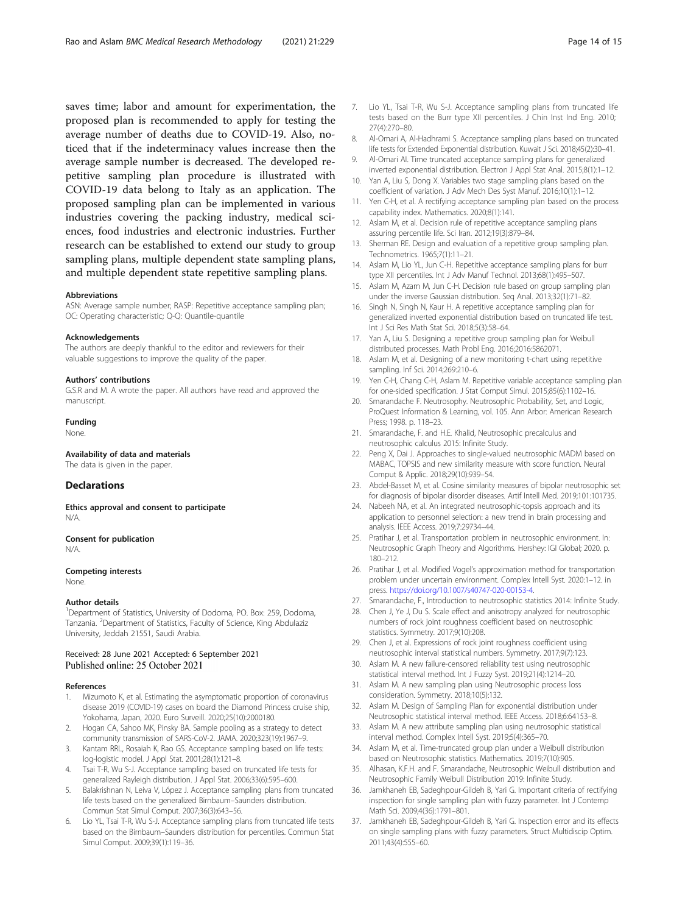<span id="page-13-0"></span>saves time; labor and amount for experimentation, the proposed plan is recommended to apply for testing the average number of deaths due to COVID-19. Also, noticed that if the indeterminacy values increase then the average sample number is decreased. The developed repetitive sampling plan procedure is illustrated with COVID-19 data belong to Italy as an application. The proposed sampling plan can be implemented in various industries covering the packing industry, medical sciences, food industries and electronic industries. Further research can be established to extend our study to group sampling plans, multiple dependent state sampling plans, and multiple dependent state repetitive sampling plans.

#### Abbreviations

ASN: Average sample number; RASP: Repetitive acceptance sampling plan; OC: Operating characteristic; Q-Q: Quantile-quantile

#### Acknowledgements

The authors are deeply thankful to the editor and reviewers for their valuable suggestions to improve the quality of the paper.

#### Authors' contributions

G.S.R and M. A wrote the paper. All authors have read and approved the manuscript.

## Funding

None.

#### Availability of data and materials

The data is given in the paper.

#### **Declarations**

Ethics approval and consent to participate N/A.

#### Consent for publication N/A.

### Competing interests

None.

#### Author details

<sup>1</sup>Department of Statistics, University of Dodoma, PO. Box: 259, Dodoma, Tanzania. <sup>2</sup>Department of Statistics, Faculty of Science, King Abdulaziz University, Jeddah 21551, Saudi Arabia.

#### Received: 28 June 2021 Accepted: 6 September 2021 Published online: 25 October 2021

#### References

- 1. Mizumoto K, et al. Estimating the asymptomatic proportion of coronavirus disease 2019 (COVID-19) cases on board the Diamond Princess cruise ship, Yokohama, Japan, 2020. Euro Surveill. 2020;25(10):2000180.
- 2. Hogan CA, Sahoo MK, Pinsky BA. Sample pooling as a strategy to detect community transmission of SARS-CoV-2. JAMA. 2020;323(19):1967–9.
- Kantam RRL, Rosaiah K, Rao GS. Acceptance sampling based on life tests: log-logistic model. J Appl Stat. 2001;28(1):121–8.
- 4. Tsai T-R, Wu S-J. Acceptance sampling based on truncated life tests for generalized Rayleigh distribution. J Appl Stat. 2006;33(6):595–600.
- 5. Balakrishnan N, Leiva V, López J. Acceptance sampling plans from truncated life tests based on the generalized Birnbaum–Saunders distribution. Commun Stat Simul Comput. 2007;36(3):643–56.
- Lio YL, Tsai T-R, Wu S-J. Acceptance sampling plans from truncated life tests based on the Birnbaum–Saunders distribution for percentiles. Commun Stat Simul Comput. 2009;39(1):119–36.
- 7. Lio YL, Tsai T-R, Wu S-J. Acceptance sampling plans from truncated life tests based on the Burr type XII percentiles. J Chin Inst Ind Eng. 2010; 27(4):270–80.
- 8. Al-Omari A, Al-Hadhrami S. Acceptance sampling plans based on truncated life tests for Extended Exponential distribution. Kuwait J Sci. 2018;45(2):30–41.
- 9. Al-Omari AI. Time truncated acceptance sampling plans for generalized inverted exponential distribution. Electron J Appl Stat Anal. 2015;8(1):1–12.
- 10. Yan A, Liu S, Dong X. Variables two stage sampling plans based on the coefficient of variation. J Adv Mech Des Syst Manuf. 2016;10(1):1–12.
- 11. Yen C-H, et al. A rectifying acceptance sampling plan based on the process capability index. Mathematics. 2020;8(1):141.
- 12. Aslam M, et al. Decision rule of repetitive acceptance sampling plans assuring percentile life. Sci Iran. 2012;19(3):879–84.
- 13. Sherman RE. Design and evaluation of a repetitive group sampling plan. Technometrics. 1965;7(1):11–21.
- 14. Aslam M, Lio YL, Jun C-H. Repetitive acceptance sampling plans for burr type XII percentiles. Int J Adv Manuf Technol. 2013;68(1):495–507.
- 15. Aslam M, Azam M, Jun C-H. Decision rule based on group sampling plan under the inverse Gaussian distribution. Seq Anal. 2013;32(1):71–82.
- 16. Singh N, Singh N, Kaur H. A repetitive acceptance sampling plan for generalized inverted exponential distribution based on truncated life test. Int J Sci Res Math Stat Sci. 2018;5(3):58–64.
- 17. Yan A, Liu S. Designing a repetitive group sampling plan for Weibull distributed processes. Math Probl Eng. 2016;2016:5862071.
- Aslam M, et al. Designing of a new monitoring t-chart using repetitive sampling. Inf Sci. 2014;269:210–6.
- 19. Yen C-H, Chang C-H, Aslam M. Repetitive variable acceptance sampling plan for one-sided specification. J Stat Comput Simul. 2015;85(6):1102–16.
- 20. Smarandache F. Neutrosophy. Neutrosophic Probability, Set, and Logic, ProQuest Information & Learning, vol. 105. Ann Arbor: American Research Press; 1998. p. 118–23.
- 21. Smarandache, F. and H.E. Khalid, Neutrosophic precalculus and neutrosophic calculus 2015: Infinite Study.
- 22. Peng X, Dai J. Approaches to single-valued neutrosophic MADM based on MABAC, TOPSIS and new similarity measure with score function. Neural Comput & Applic. 2018;29(10):939–54.
- 23. Abdel-Basset M, et al. Cosine similarity measures of bipolar neutrosophic set for diagnosis of bipolar disorder diseases. Artif Intell Med. 2019;101:101735.
- 24. Nabeeh NA, et al. An integrated neutrosophic-topsis approach and its application to personnel selection: a new trend in brain processing and analysis. IEEE Access. 2019;7:29734–44.
- 25. Pratihar J, et al. Transportation problem in neutrosophic environment. In: Neutrosophic Graph Theory and Algorithms. Hershey: IGI Global; 2020. p. 180–212.
- 26. Pratihar J, et al. Modified Vogel's approximation method for transportation problem under uncertain environment. Complex Intell Syst. 2020:1–12. in press. <https://doi.org/10.1007/s40747-020-00153-4>.
- 27. Smarandache, F., Introduction to neutrosophic statistics 2014: Infinite Study.
- 28. Chen J, Ye J, Du S. Scale effect and anisotropy analyzed for neutrosophic numbers of rock joint roughness coefficient based on neutrosophic statistics. Symmetry. 2017;9(10):208.
- 29. Chen J, et al. Expressions of rock joint roughness coefficient using neutrosophic interval statistical numbers. Symmetry. 2017;9(7):123.
- 30. Aslam M. A new failure-censored reliability test using neutrosophic statistical interval method. Int J Fuzzy Syst. 2019;21(4):1214–20.
- 31. Aslam M. A new sampling plan using Neutrosophic process loss consideration. Symmetry. 2018;10(5):132.
- 32. Aslam M. Design of Sampling Plan for exponential distribution under Neutrosophic statistical interval method. IEEE Access. 2018;6:64153–8.
- 33. Aslam M. A new attribute sampling plan using neutrosophic statistical interval method. Complex Intell Syst. 2019;5(4):365–70.
- 34. Aslam M, et al. Time-truncated group plan under a Weibull distribution based on Neutrosophic statistics. Mathematics. 2019;7(10):905.
- 35. Alhasan, K.F.H. and F. Smarandache, Neutrosophic Weibull distribution and Neutrosophic Family Weibull Distribution 2019: Infinite Study.
- 36. Jamkhaneh EB, Sadeghpour-Gildeh B, Yari G. Important criteria of rectifying inspection for single sampling plan with fuzzy parameter. Int J Contemp Math Sci. 2009;4(36):1791–801.
- 37. Jamkhaneh EB, Sadeghpour-Gildeh B, Yari G. Inspection error and its effects on single sampling plans with fuzzy parameters. Struct Multidiscip Optim. 2011;43(4):555–60.